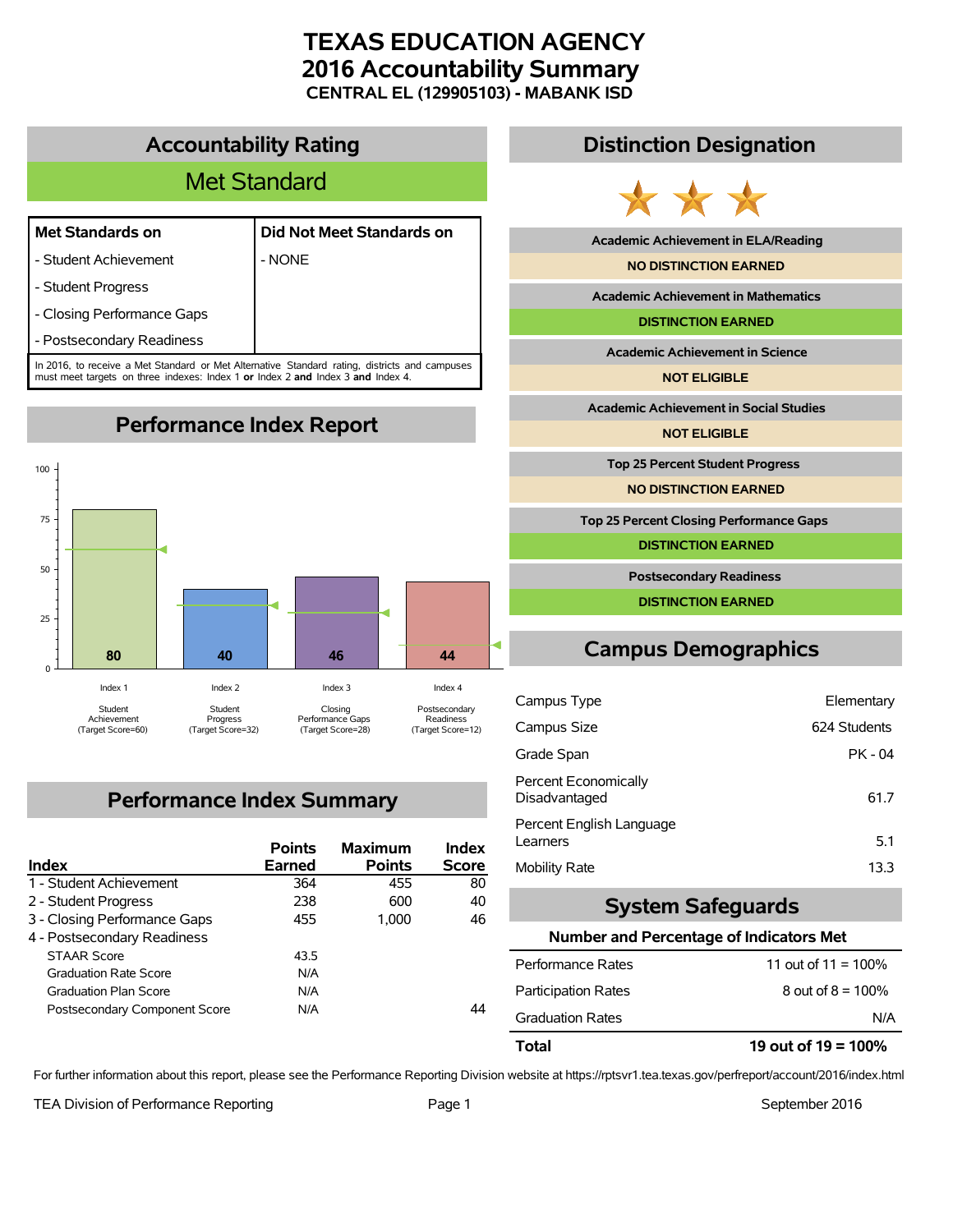# **TEXAS EDUCATION AGENCY 2016 Accountability Summary CENTRAL EL (129905103) - MABANK ISD**

### **Accountability Rating**

# Met Standard

#### **Met Standards on Did Not Meet Standards on**

- Student Achievement | NONE

- Student Progress

- Closing Performance Gaps

- Postsecondary Readiness

In 2016, to receive a Met Standard or Met Alternative Standard rating, districts and campuses must meet targets on three indexes: Index 1 **or** Index 2 **and** Index 3 **and** Index 4.

**Performance Index Report**



# **Performance Index Summary**

| <b>Index</b>                  | <b>Points</b><br><b>Earned</b> | <b>Maximum</b><br><b>Points</b> | Index<br><b>Score</b> |
|-------------------------------|--------------------------------|---------------------------------|-----------------------|
| 1 - Student Achievement       | 364                            | 455                             | 80                    |
| 2 - Student Progress          | 238                            | 600                             | 40                    |
| 3 - Closing Performance Gaps  | 455                            | 1.000                           | 46                    |
| 4 - Postsecondary Readiness   |                                |                                 |                       |
| <b>STAAR Score</b>            | 43.5                           |                                 |                       |
| <b>Graduation Rate Score</b>  | N/A                            |                                 |                       |
| <b>Graduation Plan Score</b>  | N/A                            |                                 |                       |
| Postsecondary Component Score | N/A                            |                                 | 44                    |

### **Distinction Designation**



**Academic Achievement in ELA/Reading**

**NO DISTINCTION EARNED**

**Academic Achievement in Mathematics**

**DISTINCTION EARNED**

**Academic Achievement in Science**

**NOT ELIGIBLE**

**Academic Achievement in Social Studies**

**NOT ELIGIBLE**

**Top 25 Percent Student Progress**

**NO DISTINCTION EARNED**

**Top 25 Percent Closing Performance Gaps**

**DISTINCTION EARNED**

**Postsecondary Readiness**

**DISTINCTION EARNED**

# **Campus Demographics**

| Campus Type                           | Elementary   |
|---------------------------------------|--------------|
| Campus Size                           | 624 Students |
| Grade Span                            | PK - 04      |
| Percent Economically<br>Disadvantaged | 61.7         |
| Percent English Language<br>Learners  | 5.1          |
| Mobility Rate                         | 13.3         |

### **System Safeguards**

#### **Number and Percentage of Indicators Met**

| 19 out of $19 = 100\%$ |
|------------------------|
| N/A                    |
| 8 out of $8 = 100\%$   |
| 11 out of $11 = 100\%$ |
|                        |

For further information about this report, please see the Performance Reporting Division website at https://rptsvr1.tea.texas.gov/perfreport/account/2016/index.html

TEA Division of Performance Reporting TEA Division of Performance Reporting Team Page 1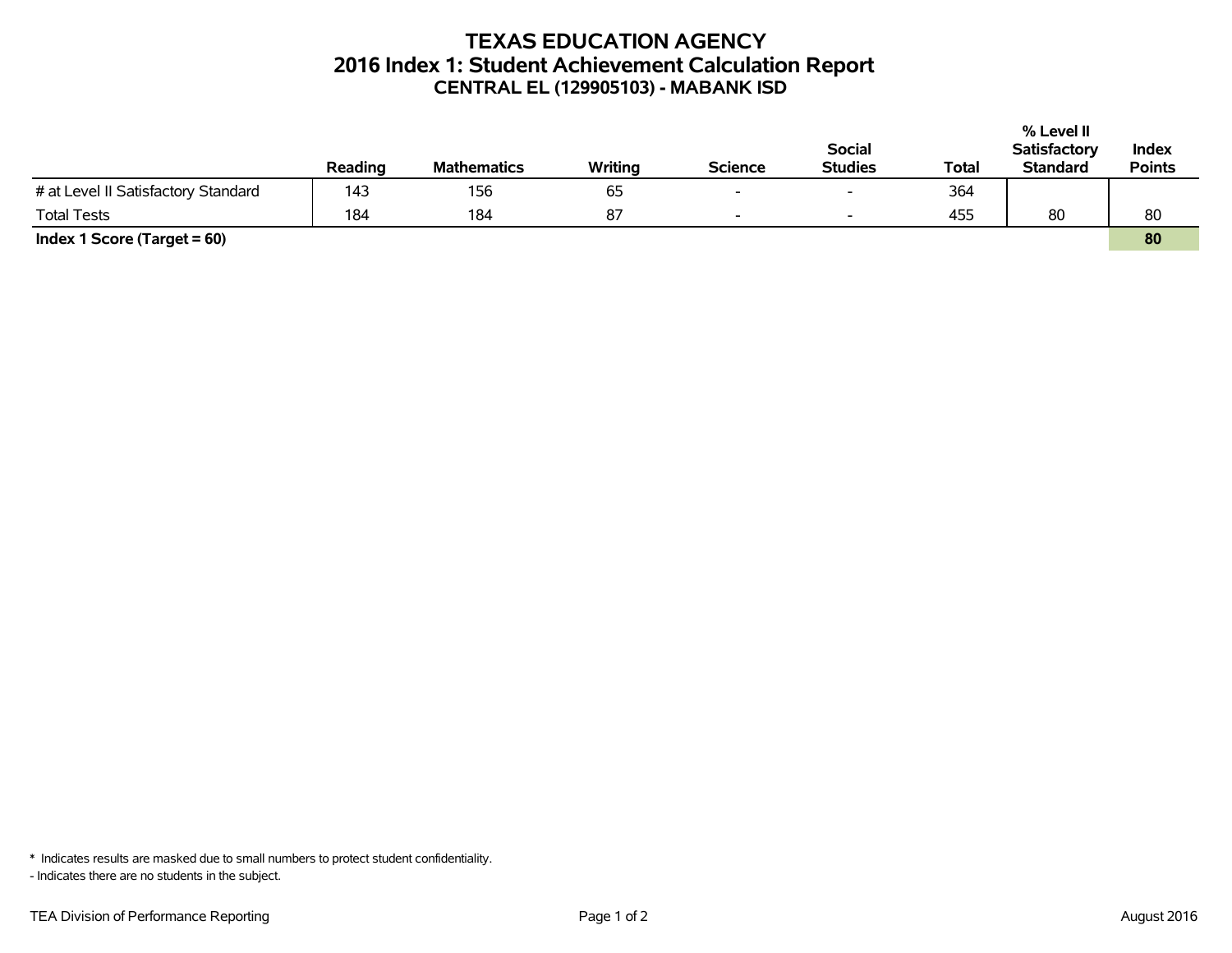## **TEXAS EDUCATION AGENCY 2016 Index 1: Student Achievement Calculation Report CENTRAL EL (129905103) - MABANK ISD**

|                                     |         |                    |         |                          |                          |       | % Level II          |               |
|-------------------------------------|---------|--------------------|---------|--------------------------|--------------------------|-------|---------------------|---------------|
|                                     |         |                    |         |                          | <b>Social</b>            |       | <b>Satisfactory</b> | Index         |
|                                     | Reading | <b>Mathematics</b> | Writing | <b>Science</b>           | <b>Studies</b>           | Total | <b>Standard</b>     | <b>Points</b> |
| # at Level II Satisfactory Standard | 143     | 156                | 65      | $\overline{\phantom{0}}$ | $\overline{\phantom{0}}$ | 364   |                     |               |
| <b>Total Tests</b>                  | 184     | 184                | 87      | $\sim$                   | $\overline{\phantom{0}}$ | 455   | 80                  | 80            |
| Index 1 Score (Target $= 60$ )      |         |                    |         |                          |                          |       |                     | 80            |

\* Indicates results are masked due to small numbers to protect student confidentiality.

- Indicates there are no students in the subject.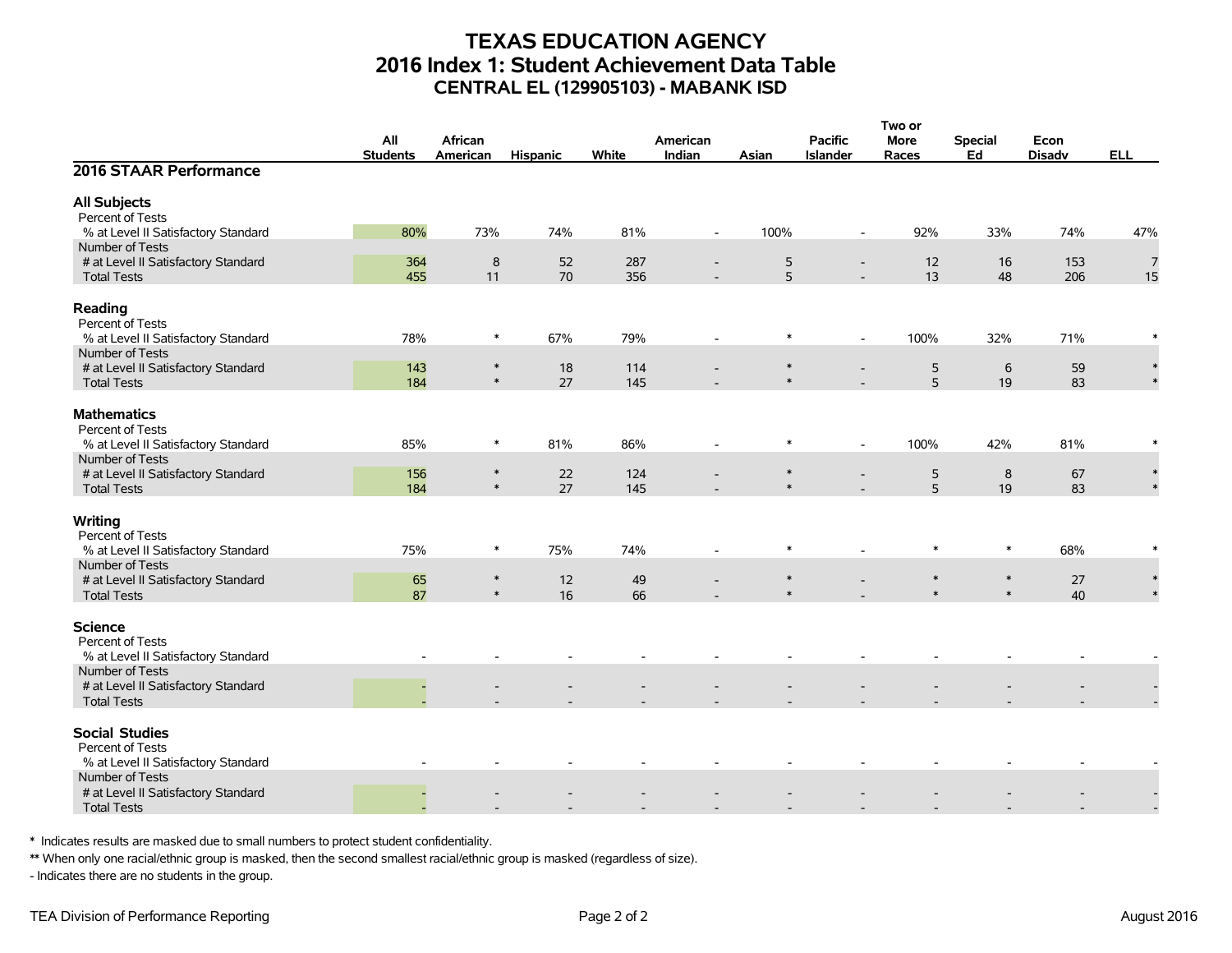## **TEXAS EDUCATION AGENCY 2016 Index 1: Student Achievement Data Table CENTRAL EL (129905103) - MABANK ISD**

|                                                                           |                 |                  |                 |       |                          |        |                          | Two or           |                  |               |            |  |
|---------------------------------------------------------------------------|-----------------|------------------|-----------------|-------|--------------------------|--------|--------------------------|------------------|------------------|---------------|------------|--|
|                                                                           | All             | African          |                 |       | American                 |        | <b>Pacific</b>           | More             | <b>Special</b>   | Econ          |            |  |
|                                                                           | <b>Students</b> | American         | <b>Hispanic</b> | White | Indian                   | Asian  | <b>Islander</b>          | Races            | Ed               | <b>Disadv</b> | <b>ELL</b> |  |
| 2016 STAAR Performance                                                    |                 |                  |                 |       |                          |        |                          |                  |                  |               |            |  |
| <b>All Subjects</b>                                                       |                 |                  |                 |       |                          |        |                          |                  |                  |               |            |  |
| Percent of Tests                                                          |                 |                  |                 |       |                          |        |                          |                  |                  |               |            |  |
| % at Level II Satisfactory Standard                                       | 80%             | 73%              | 74%             | 81%   | $\overline{\phantom{a}}$ | 100%   | $\overline{\phantom{a}}$ | 92%              | 33%              | 74%           | 47%        |  |
| Number of Tests                                                           |                 |                  |                 |       |                          |        |                          |                  |                  |               |            |  |
| # at Level II Satisfactory Standard                                       | 364             | $\bf 8$          | 52              | 287   | $\overline{\phantom{a}}$ | 5      | $\overline{\phantom{a}}$ | 12               | 16               | 153           | 7          |  |
| <b>Total Tests</b>                                                        | 455             | 11               | 70              | 356   |                          | 5      |                          | 13               | 48               | 206           | 15         |  |
| Reading<br>Percent of Tests                                               |                 |                  |                 |       |                          |        |                          |                  |                  |               |            |  |
| % at Level II Satisfactory Standard                                       | 78%             | $\ast$           | 67%             | 79%   |                          | $\ast$ | $\overline{\phantom{a}}$ | 100%             | 32%              | 71%           |            |  |
| Number of Tests                                                           |                 |                  |                 |       |                          |        |                          |                  |                  |               |            |  |
| # at Level II Satisfactory Standard                                       | 143             | $\ast$           | 18              | 114   |                          | $\ast$ |                          | 5                | 6                | 59            | $\ast$     |  |
| <b>Total Tests</b>                                                        | 184             | $\ast$           | 27              | 145   |                          | $\ast$ |                          | 5                | 19               | 83            |            |  |
| <b>Mathematics</b><br>Percent of Tests                                    |                 |                  |                 |       |                          |        |                          |                  |                  |               |            |  |
| % at Level II Satisfactory Standard                                       | 85%             | $\ast$           | 81%             | 86%   | $\overline{\phantom{a}}$ | $\ast$ | $\blacksquare$           | 100%             | 42%              | 81%           |            |  |
| Number of Tests                                                           |                 |                  |                 |       |                          |        |                          |                  |                  |               |            |  |
| # at Level II Satisfactory Standard                                       | 156             | $\ast$           | 22              | 124   |                          | $\ast$ |                          | 5                | 8                | 67            |            |  |
| <b>Total Tests</b>                                                        | 184             | $\ast$           | 27              | 145   |                          | $\ast$ |                          | 5                | 19               | 83            |            |  |
| Writing<br>Percent of Tests                                               |                 |                  |                 |       |                          |        |                          |                  |                  |               |            |  |
| % at Level II Satisfactory Standard                                       | 75%             | $\ast$           | 75%             | 74%   |                          | $\ast$ |                          | $\ast$           | $\ast$           | 68%           |            |  |
| Number of Tests                                                           |                 |                  |                 |       |                          |        |                          |                  |                  |               |            |  |
| # at Level II Satisfactory Standard                                       | 65              | $\ast$<br>$\ast$ | 12              | 49    |                          | $\ast$ |                          | $\ast$<br>$\ast$ | $\ast$<br>$\ast$ | 27            |            |  |
| <b>Total Tests</b>                                                        | 87              |                  | 16              | 66    |                          |        |                          |                  |                  | 40            |            |  |
| <b>Science</b><br>Percent of Tests<br>% at Level II Satisfactory Standard |                 |                  |                 |       |                          |        |                          |                  |                  |               |            |  |
| Number of Tests                                                           |                 |                  |                 |       |                          |        |                          |                  |                  |               |            |  |
| # at Level II Satisfactory Standard                                       |                 |                  |                 |       |                          |        |                          |                  |                  |               |            |  |
| <b>Total Tests</b>                                                        |                 |                  |                 |       |                          |        |                          |                  |                  |               |            |  |
| <b>Social Studies</b><br>Percent of Tests                                 |                 |                  |                 |       |                          |        |                          |                  |                  |               |            |  |
| % at Level II Satisfactory Standard                                       |                 |                  |                 |       |                          |        |                          |                  |                  |               |            |  |
| Number of Tests                                                           |                 |                  |                 |       |                          |        |                          |                  |                  |               |            |  |
| # at Level II Satisfactory Standard<br><b>Total Tests</b>                 |                 |                  |                 |       |                          |        |                          |                  |                  |               |            |  |
|                                                                           |                 |                  |                 |       |                          |        |                          |                  |                  |               |            |  |

\* Indicates results are masked due to small numbers to protect student confidentiality.

\*\* When only one racial/ethnic group is masked, then the second smallest racial/ethnic group is masked (regardless of size).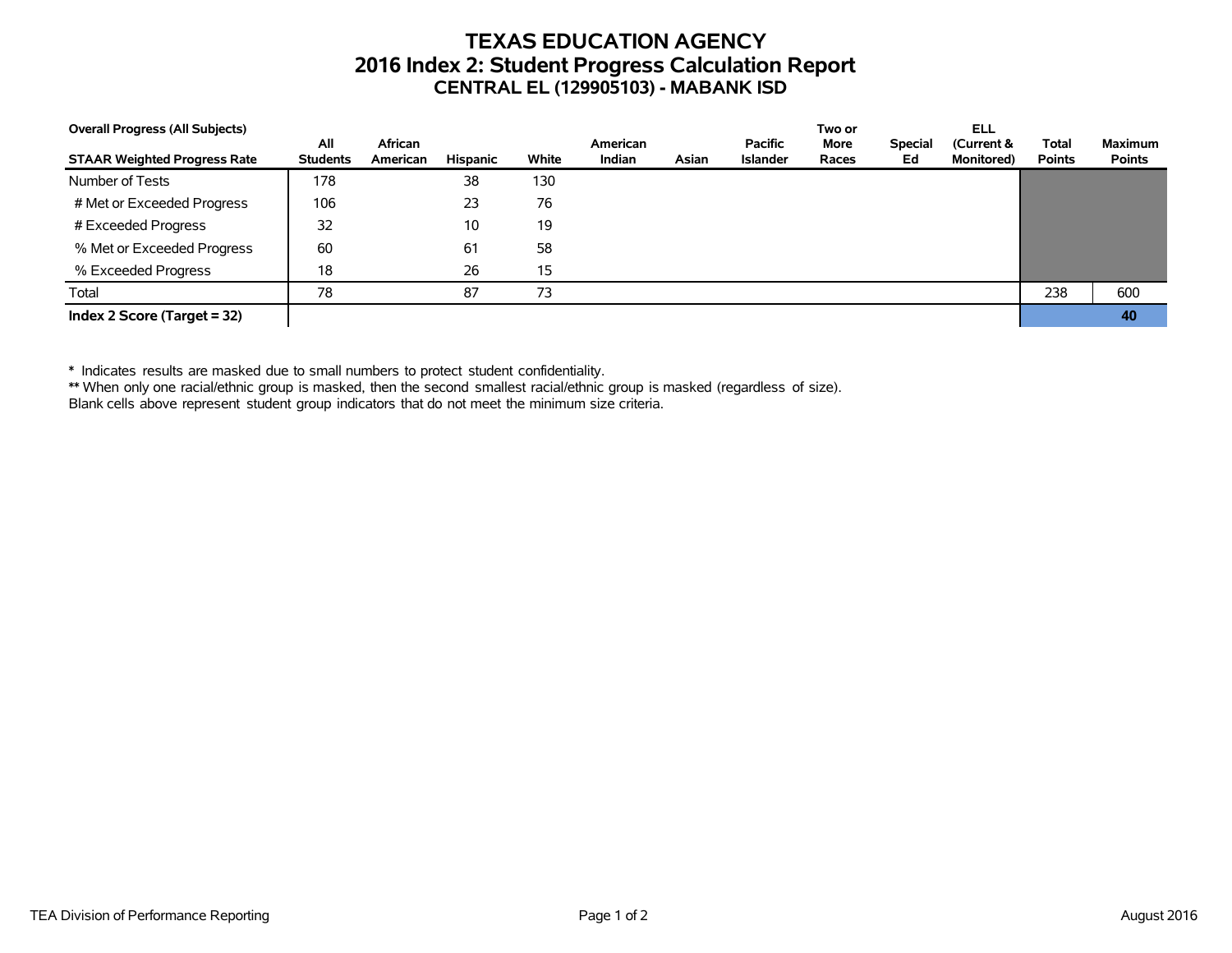## **TEXAS EDUCATION AGENCY 2016 Index 2: Student Progress Calculation Report CENTRAL EL (129905103) - MABANK ISD**

| <b>Overall Progress (All Subjects)</b> |                        |                     |          |       |                    |       |                            | Two or        |                      | ELL                              |                               |                                 |
|----------------------------------------|------------------------|---------------------|----------|-------|--------------------|-------|----------------------------|---------------|----------------------|----------------------------------|-------------------------------|---------------------------------|
| <b>STAAR Weighted Progress Rate</b>    | All<br><b>Students</b> | African<br>American | Hispanic | White | American<br>Indian | Asian | <b>Pacific</b><br>Islander | More<br>Races | <b>Special</b><br>Ed | (Current &<br><b>Monitored</b> ) | <b>Total</b><br><b>Points</b> | <b>Maximum</b><br><b>Points</b> |
| Number of Tests                        | 178                    |                     | 38       | 130   |                    |       |                            |               |                      |                                  |                               |                                 |
| # Met or Exceeded Progress             | 106                    |                     | 23       | 76    |                    |       |                            |               |                      |                                  |                               |                                 |
| # Exceeded Progress                    | 32                     |                     | 10       | 19    |                    |       |                            |               |                      |                                  |                               |                                 |
| % Met or Exceeded Progress             | 60                     |                     | 61       | 58    |                    |       |                            |               |                      |                                  |                               |                                 |
| % Exceeded Progress                    | 18                     |                     | 26       | 15    |                    |       |                            |               |                      |                                  |                               |                                 |
| Total                                  | 78                     |                     | 87       | 73    |                    |       |                            |               |                      |                                  | 238                           | 600                             |
| Index 2 Score (Target $= 32$ )         |                        |                     |          |       |                    |       |                            |               |                      |                                  |                               | 40                              |

\* Indicates results are masked due to small numbers to protect student confidentiality.

\*\* When only one racial/ethnic group is masked, then the second smallest racial/ethnic group is masked (regardless of size).

Blank cells above represent student group indicators that do not meet the minimum size criteria.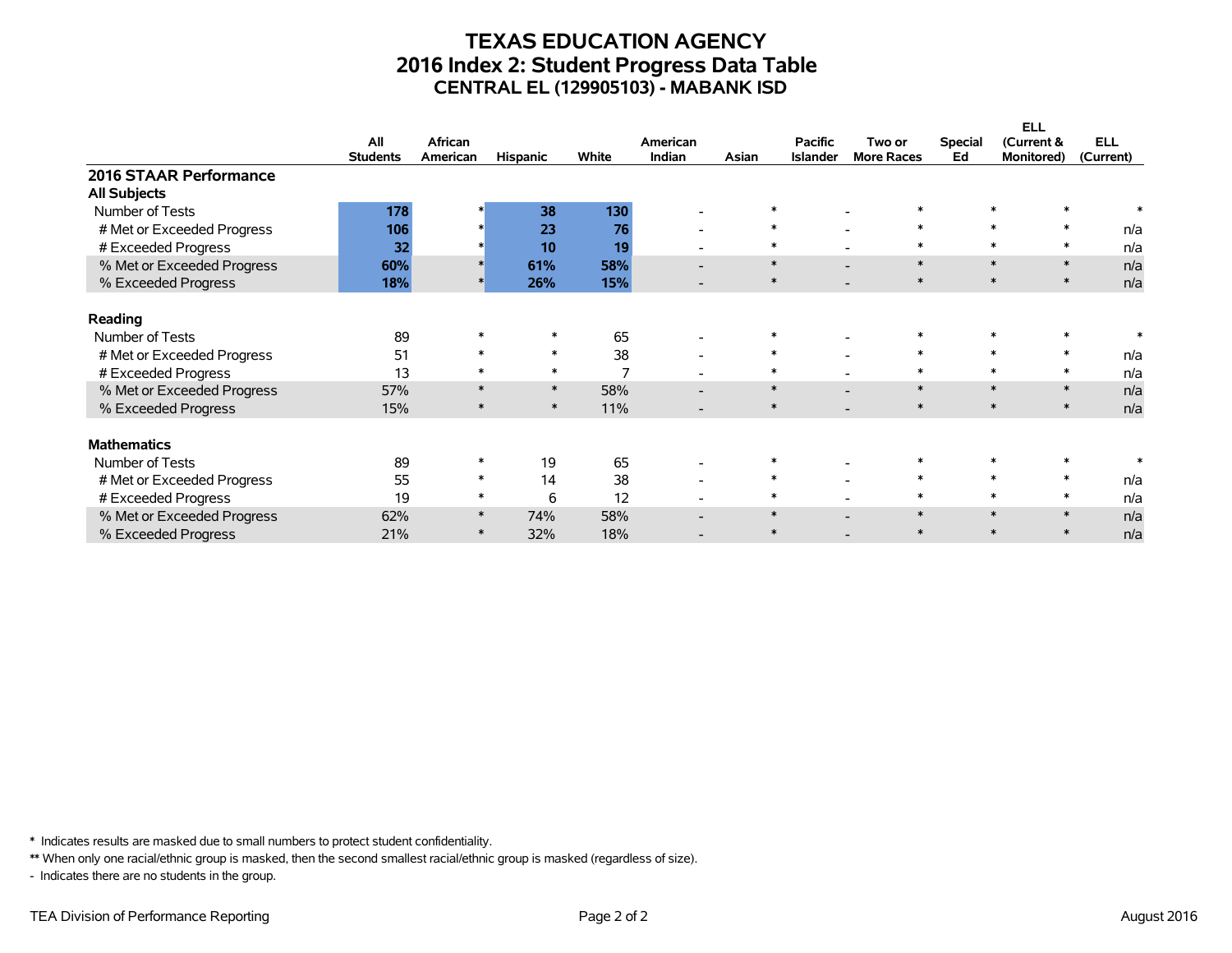## **TEXAS EDUCATION AGENCY 2016 Index 2: Student Progress Data Table CENTRAL EL (129905103) - MABANK ISD**

|                            |                 |          |                 |                |                          |        |                 |                   |                | <b>ELL</b>        |            |
|----------------------------|-----------------|----------|-----------------|----------------|--------------------------|--------|-----------------|-------------------|----------------|-------------------|------------|
|                            | All             | African  |                 |                | American                 |        | <b>Pacific</b>  | Two or            | <b>Special</b> | (Current &        | <b>ELL</b> |
|                            | <b>Students</b> | American | <b>Hispanic</b> | White          | <b>Indian</b>            | Asian  | <b>Islander</b> | <b>More Races</b> | Ed             | <b>Monitored)</b> | (Current)  |
| 2016 STAAR Performance     |                 |          |                 |                |                          |        |                 |                   |                |                   |            |
| <b>All Subjects</b>        |                 |          |                 |                |                          |        |                 |                   |                |                   |            |
| Number of Tests            | 178             |          | 38              | 130            |                          |        |                 |                   |                |                   |            |
| # Met or Exceeded Progress | 106             |          | 23              | 76             | $\overline{\phantom{a}}$ | $\ast$ |                 | $\ast$            |                | $\ast$<br>$\ast$  | n/a        |
| # Exceeded Progress        | 32              |          | 10              | 19             | $\overline{\phantom{0}}$ | $\ast$ |                 | $\ast$            |                | $\ast$            | n/a        |
| % Met or Exceeded Progress | 60%             |          | 61%             | 58%            | $\overline{\phantom{0}}$ | $\ast$ |                 | $\ast$            |                | $\ast$<br>$\ast$  | n/a        |
| % Exceeded Progress        | 18%             |          | 26%             | 15%            |                          | $\ast$ |                 | $\ast$            |                | $\ast$<br>$\ast$  | n/a        |
| Reading                    |                 |          |                 |                |                          |        |                 |                   |                |                   |            |
| Number of Tests            | 89              |          |                 | 65             |                          |        |                 |                   |                |                   |            |
| # Met or Exceeded Progress | 51              |          | $\ast$          | 38             | $\overline{\phantom{a}}$ | $\ast$ |                 | $\ast$            |                | $\ast$<br>$\ast$  | n/a        |
| # Exceeded Progress        | 13              |          | $\ast$          | $\overline{ }$ |                          | $\ast$ |                 | $\ast$            |                | $\ast$            | n/a        |
| % Met or Exceeded Progress | 57%             |          | $\ast$          | 58%            | $\overline{\phantom{0}}$ | $\ast$ |                 | $\ast$            |                | $\ast$<br>$\ast$  | n/a        |
| % Exceeded Progress        | 15%             |          | $\ast$          | 11%            |                          | $\ast$ |                 | $\ast$            |                | $\ast$<br>$\ast$  | n/a        |
| <b>Mathematics</b>         |                 |          |                 |                |                          |        |                 |                   |                |                   |            |
| Number of Tests            | 89              |          | 19              | 65             | $\overline{\phantom{a}}$ | $\ast$ |                 |                   |                |                   |            |
| # Met or Exceeded Progress | 55              | $\ast$   | 14              | 38             | $\overline{\phantom{0}}$ | $\ast$ |                 | $\ast$            |                | $\ast$            | n/a        |
| # Exceeded Progress        | 19              | $\ast$   | 6               | 12             |                          | $\ast$ |                 | $\ast$            |                | $\ast$            | n/a        |
| % Met or Exceeded Progress | 62%             | $\ast$   | 74%             | 58%            |                          | $\ast$ |                 | $\ast$            |                | $\ast$<br>$\ast$  | n/a        |
| % Exceeded Progress        | 21%             | $\ast$   | 32%             | 18%            |                          | $\ast$ |                 | $\ast$            |                | $\ast$            | n/a        |

\* Indicates results are masked due to small numbers to protect student confidentiality.

\*\* When only one racial/ethnic group is masked, then the second smallest racial/ethnic group is masked (regardless of size).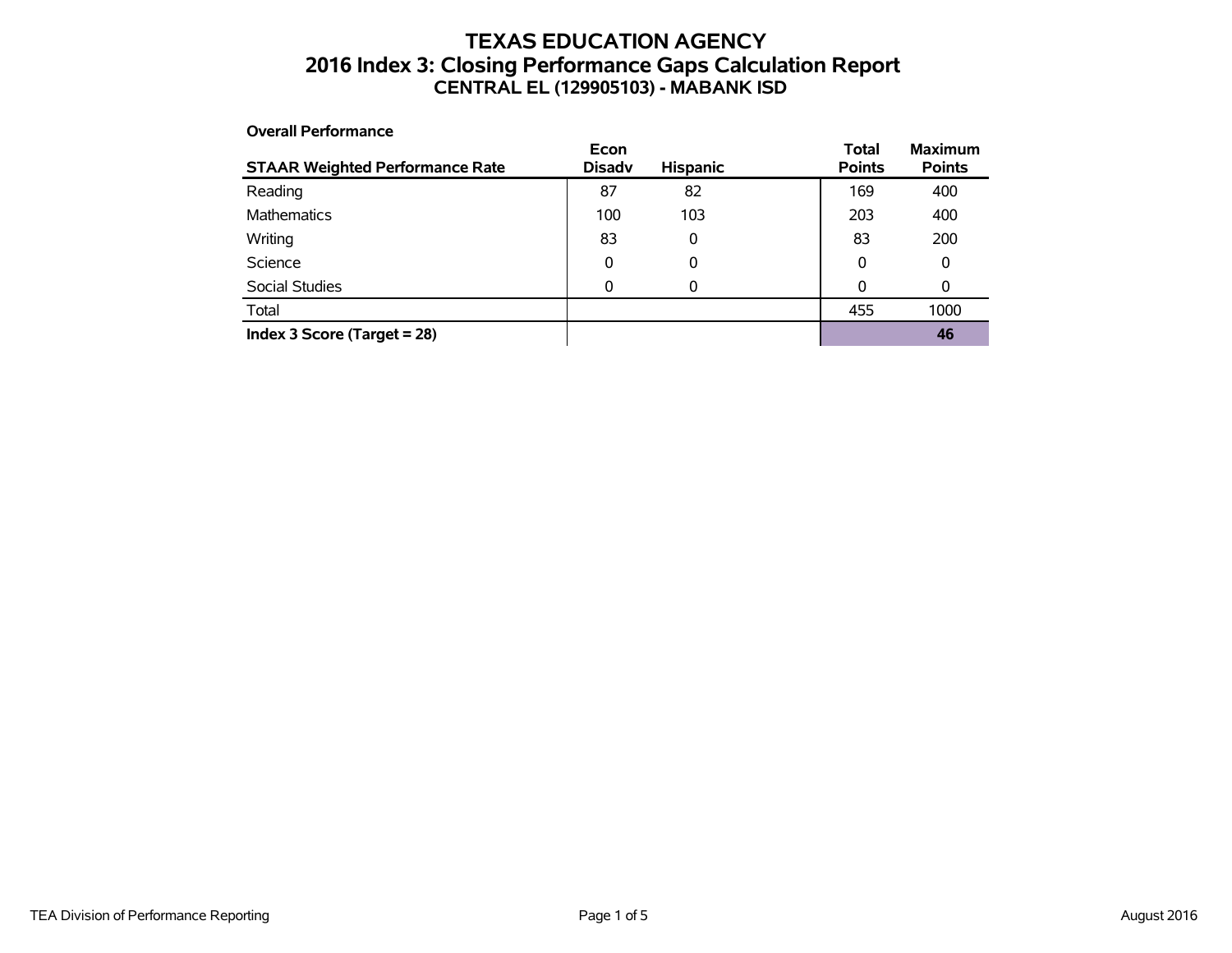## **TEXAS EDUCATION AGENCY 2016 Index 3: Closing Performance Gaps Calculation Report CENTRAL EL (129905103) - MABANK ISD**

#### **Overall Performance**

| <b>STAAR Weighted Performance Rate</b> | Econ<br><b>Disadv</b> | <b>Hispanic</b> | <b>Total</b><br><b>Points</b> | <b>Maximum</b><br><b>Points</b> |
|----------------------------------------|-----------------------|-----------------|-------------------------------|---------------------------------|
| Reading                                | 87                    | 82              | 169                           | 400                             |
| <b>Mathematics</b>                     | 100                   | 103             | 203                           | 400                             |
| Writing                                | 83                    | 0               | 83                            | 200                             |
| Science                                | 0                     | 0               | 0                             | 0                               |
| Social Studies                         | 0                     | 0               | 0                             | 0                               |
| Total                                  |                       |                 | 455                           | 1000                            |
| Index 3 Score (Target $= 28$ )         |                       |                 |                               | 46                              |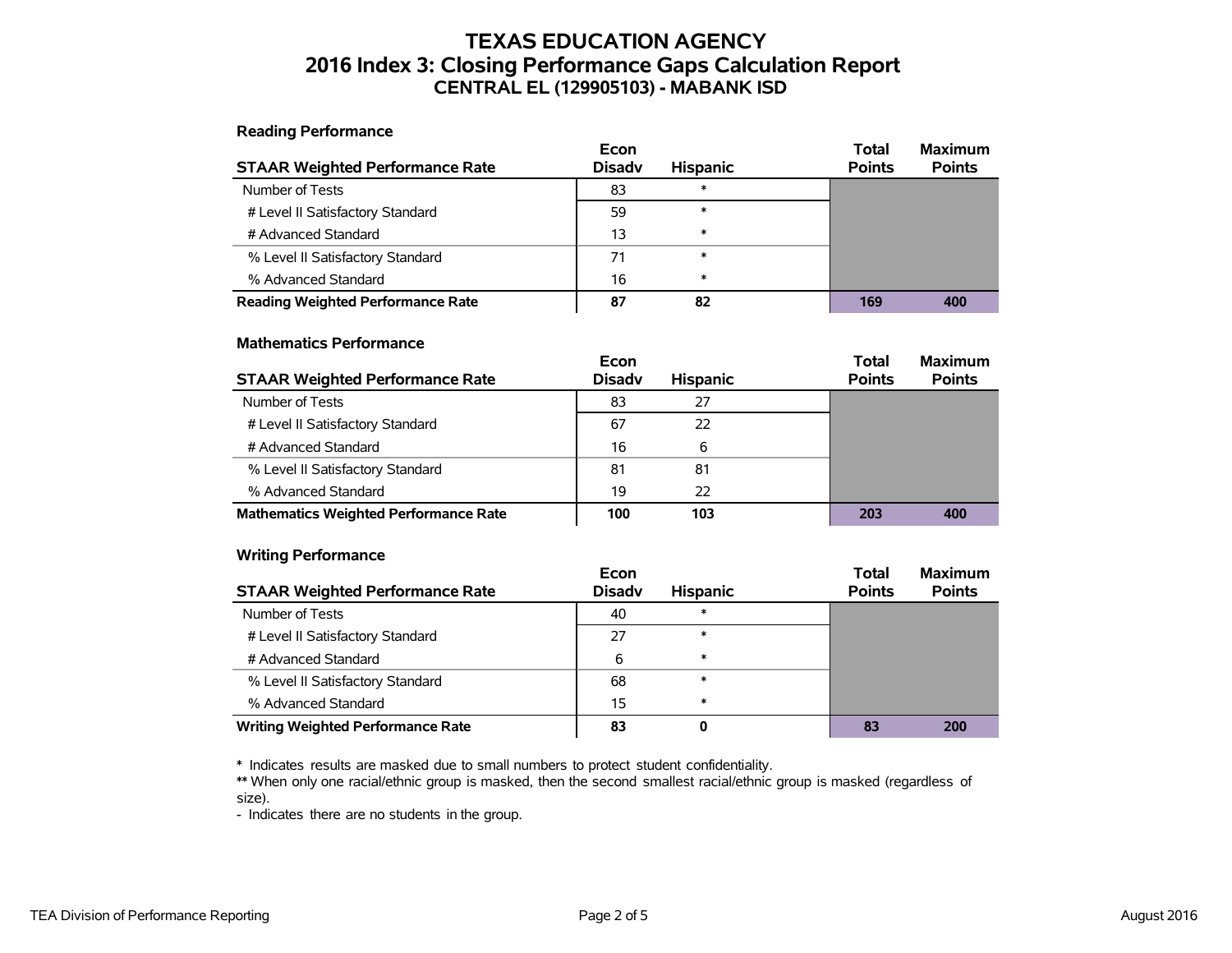## **TEXAS EDUCATION AGENCY 2016 Index 3: Closing Performance Gaps Calculation Report CENTRAL EL (129905103) - MABANK ISD**

**Reading Performance**

|                                          | Econ          |                 | <b>Maximum</b><br><b>Total</b> |
|------------------------------------------|---------------|-----------------|--------------------------------|
| <b>STAAR Weighted Performance Rate</b>   | <b>Disady</b> | <b>Hispanic</b> | <b>Points</b><br><b>Points</b> |
| Number of Tests                          | 83            | ∗               |                                |
| # Level II Satisfactory Standard         | 59            | $\ast$          |                                |
| # Advanced Standard                      | 13            | $\ast$          |                                |
| % Level II Satisfactory Standard         | 71            | $\ast$          |                                |
| % Advanced Standard                      | 16            | $\ast$          |                                |
| <b>Reading Weighted Performance Rate</b> | 87            | 82              | 169<br>400                     |

#### **Mathematics Performance**

|                                              | Econ          |                 | <b>Total</b>  | <b>Maximum</b> |
|----------------------------------------------|---------------|-----------------|---------------|----------------|
| <b>STAAR Weighted Performance Rate</b>       | <b>Disady</b> | <b>Hispanic</b> | <b>Points</b> | <b>Points</b>  |
| Number of Tests                              | 83            | 27              |               |                |
| # Level II Satisfactory Standard             | 67            | 22              |               |                |
| # Advanced Standard                          | 16            | 6               |               |                |
| % Level II Satisfactory Standard             | 81            | 81              |               |                |
| % Advanced Standard                          | 19            | 22              |               |                |
| <b>Mathematics Weighted Performance Rate</b> | 100           | 103             | 203           | 400            |

#### **Writing Performance**

|                                          | Econ          |                 | <b>Total</b>  | <b>Maximum</b> |
|------------------------------------------|---------------|-----------------|---------------|----------------|
| <b>STAAR Weighted Performance Rate</b>   | <b>Disady</b> | <b>Hispanic</b> | <b>Points</b> | <b>Points</b>  |
| Number of Tests                          | 40            | ж               |               |                |
| # Level II Satisfactory Standard         | 27            | $\ast$          |               |                |
| # Advanced Standard                      | 6             | ∗               |               |                |
| % Level II Satisfactory Standard         | 68            | ∗               |               |                |
| % Advanced Standard                      | 15            | ∗               |               |                |
| <b>Writing Weighted Performance Rate</b> | 83            | 0               | 83            | 200            |

\* Indicates results are masked due to small numbers to protect student confidentiality.

\*\* When only one racial/ethnic group is masked, then the second smallest racial/ethnic group is masked (regardless of size).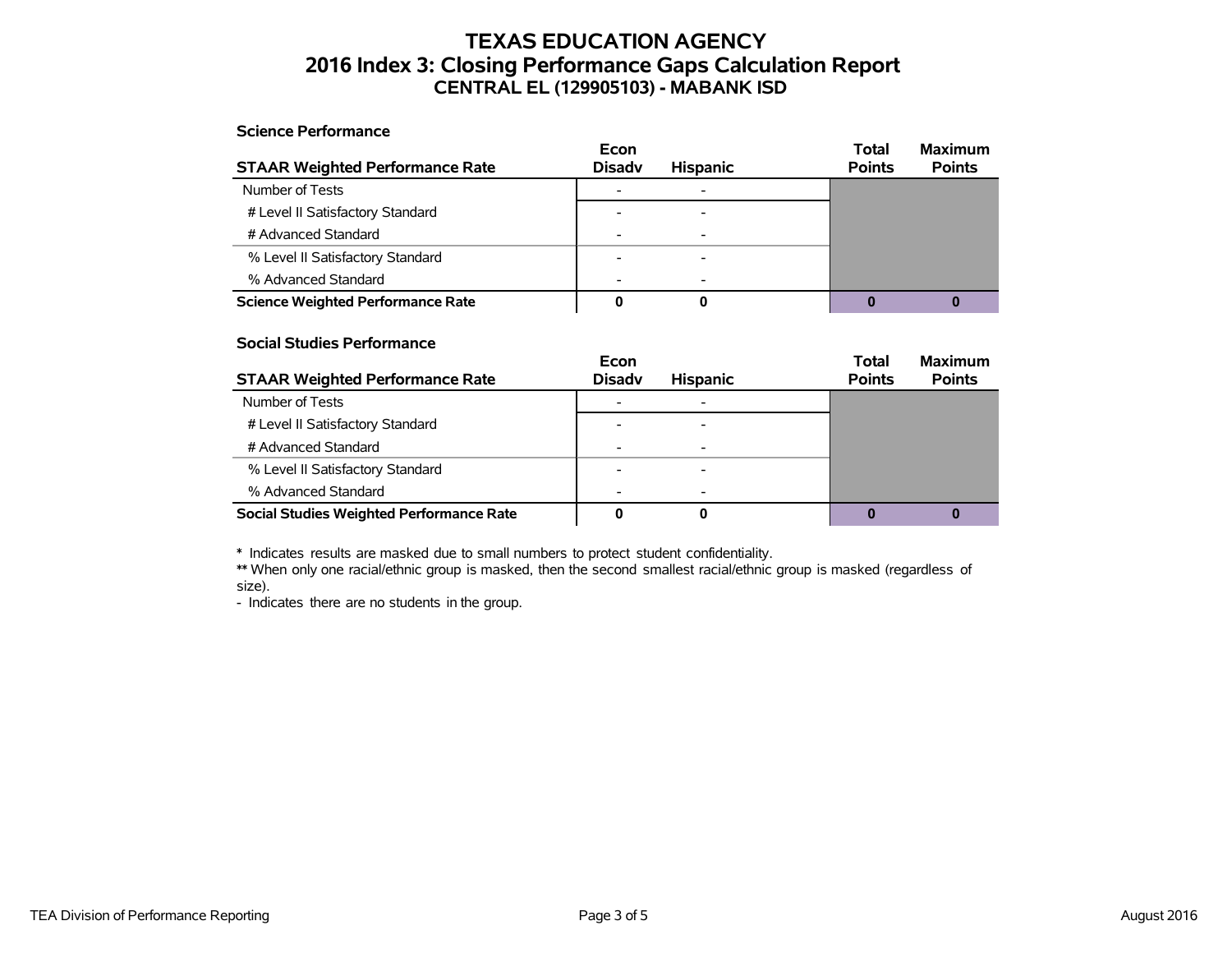## **TEXAS EDUCATION AGENCY 2016 Index 3: Closing Performance Gaps Calculation Report CENTRAL EL (129905103) - MABANK ISD**

#### **Science Performance**

|                                          | Econ          |                 | <b>Total</b>  | <b>Maximum</b> |
|------------------------------------------|---------------|-----------------|---------------|----------------|
| <b>STAAR Weighted Performance Rate</b>   | <b>Disadv</b> | <b>Hispanic</b> | <b>Points</b> | <b>Points</b>  |
| Number of Tests                          |               |                 |               |                |
| # Level II Satisfactory Standard         |               |                 |               |                |
| # Advanced Standard                      |               |                 |               |                |
| % Level II Satisfactory Standard         |               |                 |               |                |
| % Advanced Standard                      |               |                 |               |                |
| <b>Science Weighted Performance Rate</b> |               |                 |               |                |

#### **Social Studies Performance**

|                                                 | Econ                     |                 | <b>Total</b>  | <b>Maximum</b> |
|-------------------------------------------------|--------------------------|-----------------|---------------|----------------|
| <b>STAAR Weighted Performance Rate</b>          | <b>Disadv</b>            | <b>Hispanic</b> | <b>Points</b> | <b>Points</b>  |
| Number of Tests                                 |                          |                 |               |                |
| # Level II Satisfactory Standard                |                          |                 |               |                |
| # Advanced Standard                             | $\overline{\phantom{0}}$ |                 |               |                |
| % Level II Satisfactory Standard                |                          |                 |               |                |
| % Advanced Standard                             |                          |                 |               |                |
| <b>Social Studies Weighted Performance Rate</b> |                          |                 |               |                |

\* Indicates results are masked due to small numbers to protect student confidentiality.

\*\* When only one racial/ethnic group is masked, then the second smallest racial/ethnic group is masked (regardless of size).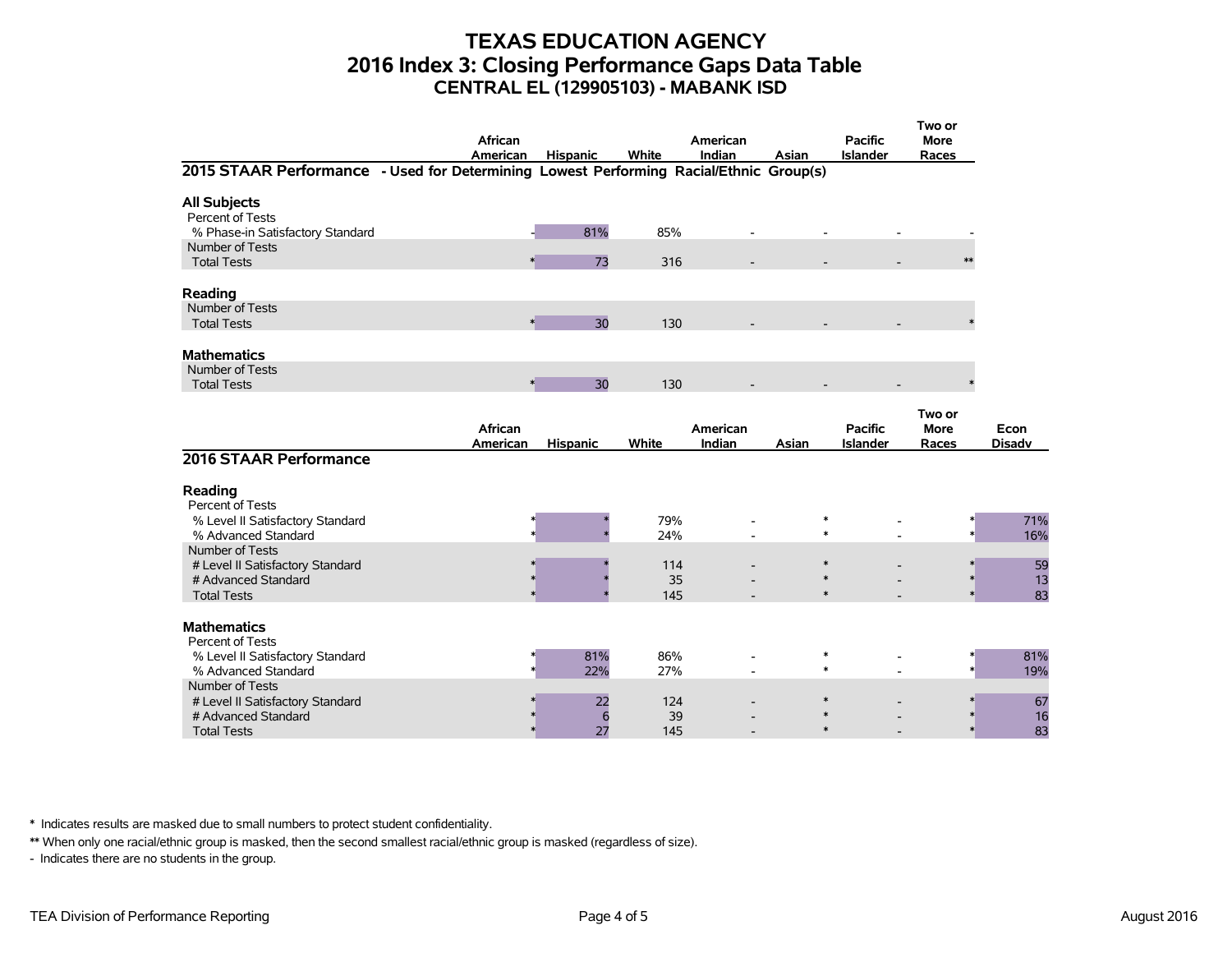## **TEXAS EDUCATION AGENCY 2016 Index 3: Closing Performance Gaps Data Table CENTRAL EL (129905103) - MABANK ISD**

| 2015 STAAR Performance - Used for Determining Lowest Performing Racial/Ethnic Group(s)           | African<br>American | <b>Hispanic</b> | White            | American<br>Indian | Asian                      | <b>Pacific</b><br><b>Islander</b> | Two or<br><b>More</b><br>Races |                       |
|--------------------------------------------------------------------------------------------------|---------------------|-----------------|------------------|--------------------|----------------------------|-----------------------------------|--------------------------------|-----------------------|
|                                                                                                  |                     |                 |                  |                    |                            |                                   |                                |                       |
| <b>All Subjects</b><br>Percent of Tests<br>% Phase-in Satisfactory Standard                      |                     | 81%             | 85%              |                    |                            |                                   |                                |                       |
| Number of Tests<br><b>Total Tests</b>                                                            |                     | 73              | 316              |                    |                            |                                   | $**$                           |                       |
| Reading                                                                                          |                     |                 |                  |                    |                            |                                   |                                |                       |
| Number of Tests<br><b>Total Tests</b>                                                            | $\ast$              | 30              | 130              |                    |                            |                                   |                                |                       |
| <b>Mathematics</b>                                                                               |                     |                 |                  |                    |                            |                                   |                                |                       |
| Number of Tests<br><b>Total Tests</b>                                                            | $\ast$              | 30              | 130              |                    |                            |                                   |                                |                       |
|                                                                                                  | African<br>American | <b>Hispanic</b> | White            | American<br>Indian | Asian                      | <b>Pacific</b><br><b>Islander</b> | Two or<br><b>More</b><br>Races | Econ<br><b>Disadv</b> |
| 2016 STAAR Performance                                                                           |                     |                 |                  |                    |                            |                                   |                                |                       |
| Reading<br>Percent of Tests                                                                      |                     |                 |                  |                    |                            |                                   |                                |                       |
| % Level II Satisfactory Standard<br>% Advanced Standard                                          |                     |                 | 79%<br>24%       |                    | $\ast$<br>$\ast$           |                                   |                                | 71%<br>16%            |
| Number of Tests<br># Level II Satisfactory Standard<br># Advanced Standard<br><b>Total Tests</b> |                     |                 | 114<br>35<br>145 |                    | $\ast$<br>$\ast$<br>$\ast$ |                                   |                                | 59<br>13<br>83        |
| <b>Mathematics</b><br>Percent of Tests                                                           |                     |                 |                  |                    |                            |                                   |                                |                       |
| % Level II Satisfactory Standard<br>% Advanced Standard                                          |                     | 81%<br>22%      | 86%<br>27%       |                    | $\ast$<br>$\ast$           |                                   |                                | 81%<br>19%            |
| Number of Tests<br># Level II Satisfactory Standard<br># Advanced Standard<br><b>Total Tests</b> |                     | 22<br>6<br>27   | 124<br>39<br>145 |                    | $\ast$                     |                                   |                                | 67<br>16<br>83        |

\* Indicates results are masked due to small numbers to protect student confidentiality.

\*\* When only one racial/ethnic group is masked, then the second smallest racial/ethnic group is masked (regardless of size).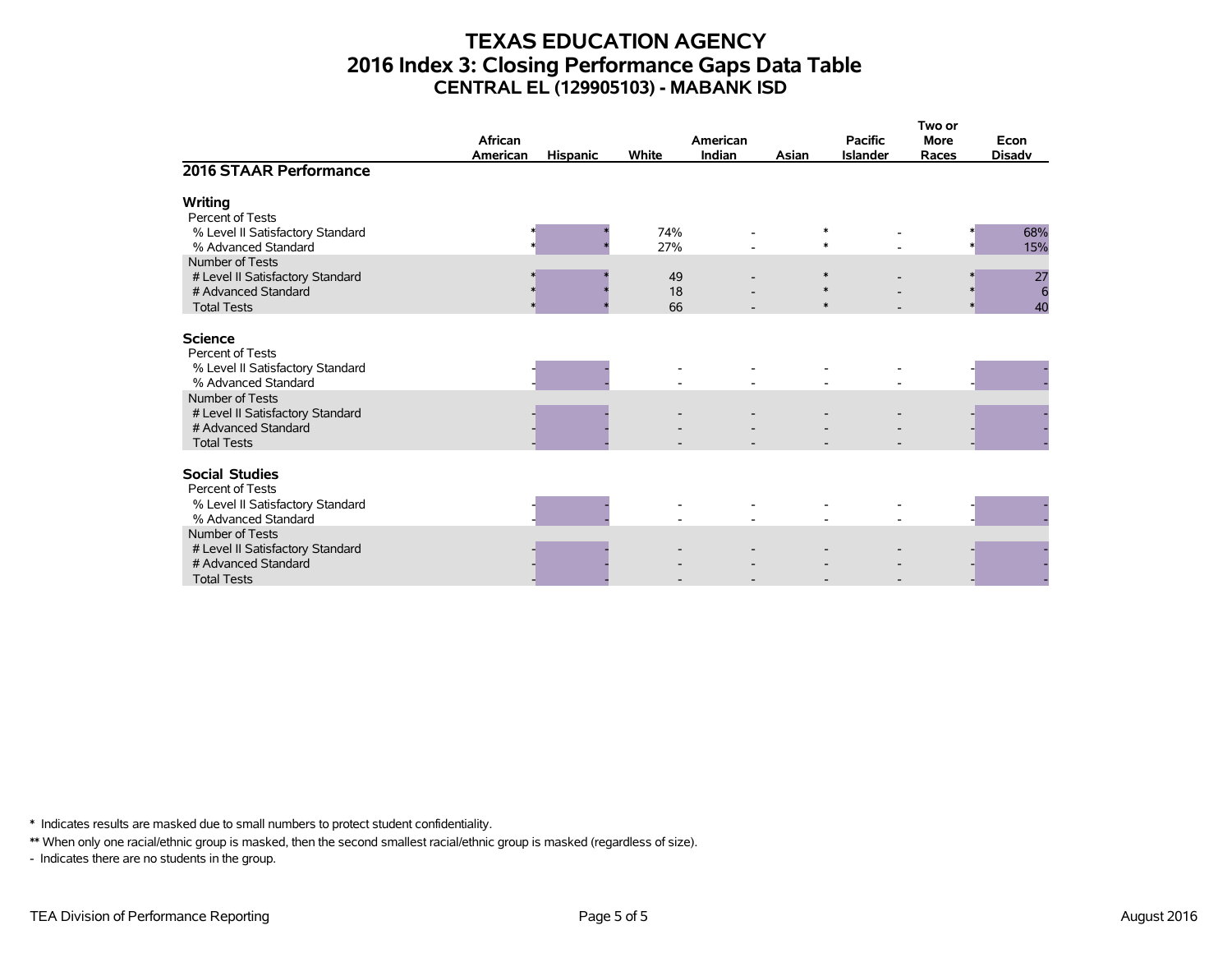## **TEXAS EDUCATION AGENCY 2016 Index 3: Closing Performance Gaps Data Table CENTRAL EL (129905103) - MABANK ISD**

|                                                                                                  | African<br>American | <b>Hispanic</b> | White          | American<br><b>Indian</b> | Asian | <b>Pacific</b><br><b>Islander</b> | Two or<br><b>More</b><br>Races | Econ<br><b>Disadv</b>       |
|--------------------------------------------------------------------------------------------------|---------------------|-----------------|----------------|---------------------------|-------|-----------------------------------|--------------------------------|-----------------------------|
| 2016 STAAR Performance                                                                           |                     |                 |                |                           |       |                                   |                                |                             |
| Writing<br>Percent of Tests<br>% Level II Satisfactory Standard                                  |                     |                 | 74%            |                           |       | $\ast$                            |                                | 68%                         |
| % Advanced Standard<br>Number of Tests                                                           |                     |                 | 27%            |                           |       | $\ast$                            |                                | 15%                         |
| # Level II Satisfactory Standard<br># Advanced Standard<br><b>Total Tests</b>                    |                     |                 | 49<br>18<br>66 |                           |       | $\ast$<br>$\ast$<br>$\ast$        |                                | 27<br>$6\phantom{1}6$<br>40 |
| <b>Science</b><br>Percent of Tests                                                               |                     |                 |                |                           |       |                                   |                                |                             |
| % Level II Satisfactory Standard<br>% Advanced Standard<br>Number of Tests                       |                     |                 |                |                           |       |                                   |                                |                             |
| # Level II Satisfactory Standard<br># Advanced Standard<br><b>Total Tests</b>                    |                     |                 |                |                           |       |                                   |                                |                             |
| <b>Social Studies</b><br>Percent of Tests                                                        |                     |                 |                |                           |       |                                   |                                |                             |
| % Level II Satisfactory Standard<br>% Advanced Standard                                          |                     |                 |                |                           |       |                                   |                                |                             |
| Number of Tests<br># Level II Satisfactory Standard<br># Advanced Standard<br><b>Total Tests</b> |                     |                 |                |                           |       |                                   |                                |                             |

\* Indicates results are masked due to small numbers to protect student confidentiality.

\*\* When only one racial/ethnic group is masked, then the second smallest racial/ethnic group is masked (regardless of size).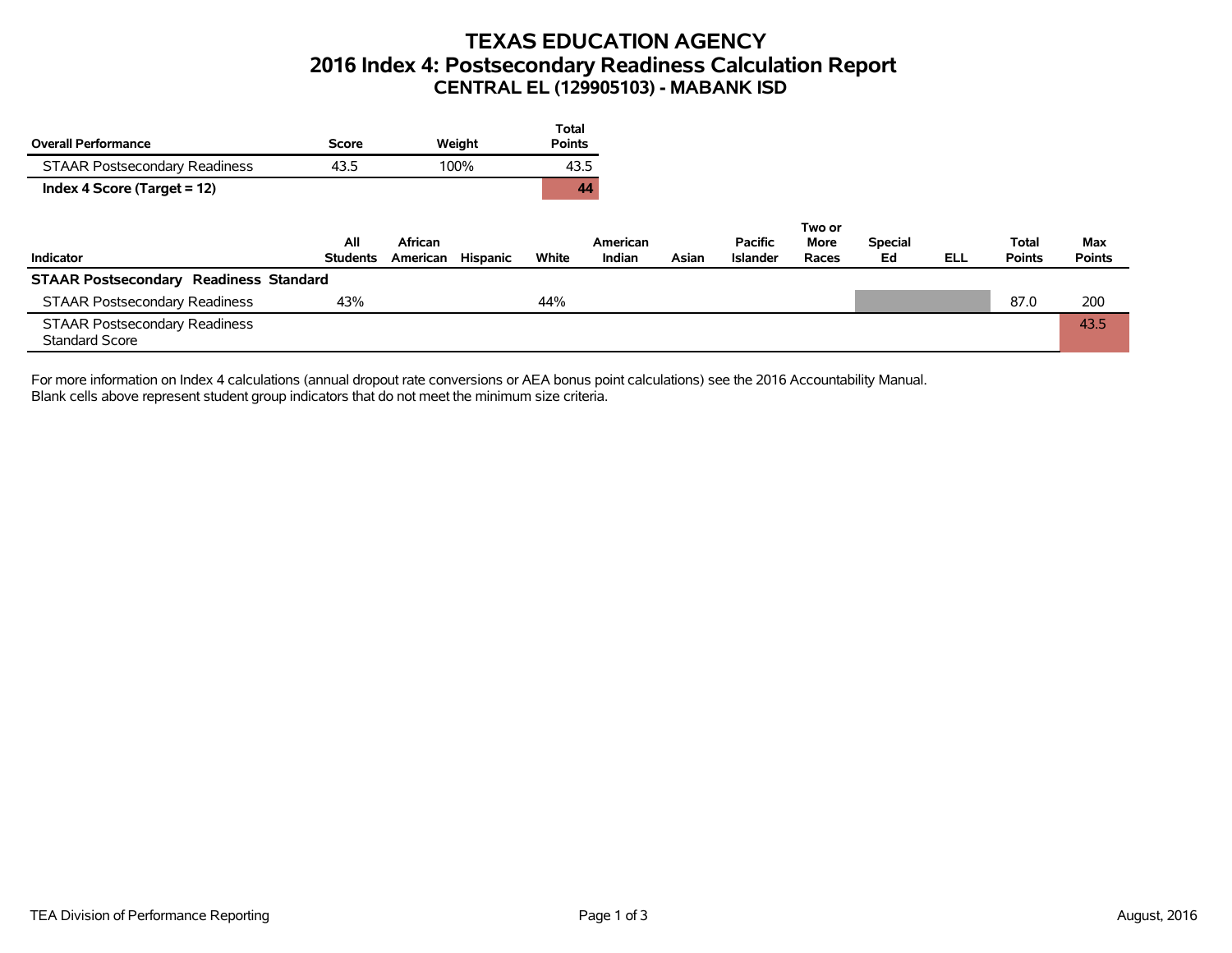## **TEXAS EDUCATION AGENCY 2016 Index 4: Postsecondary Readiness Calculation Report CENTRAL EL (129905103) - MABANK ISD**

|                                                               |                        |                                 | <b>Total</b>  |                    |       |                                   |               |                      |            |                        |                      |
|---------------------------------------------------------------|------------------------|---------------------------------|---------------|--------------------|-------|-----------------------------------|---------------|----------------------|------------|------------------------|----------------------|
| <b>Overall Performance</b>                                    | Score                  | Weight                          | <b>Points</b> |                    |       |                                   |               |                      |            |                        |                      |
| <b>STAAR Postsecondary Readiness</b>                          | 43.5                   | 100%                            | 43.5          |                    |       |                                   |               |                      |            |                        |                      |
| Index 4 Score (Target = 12)                                   |                        |                                 | 44            |                    |       |                                   |               |                      |            |                        |                      |
|                                                               |                        |                                 |               |                    |       |                                   | Two or        |                      |            |                        |                      |
| Indicator                                                     | All<br><b>Students</b> | African<br>Hispanic<br>American | White         | American<br>Indian | Asian | <b>Pacific</b><br><b>Islander</b> | More<br>Races | <b>Special</b><br>Ed | <b>ELL</b> | Total<br><b>Points</b> | Max<br><b>Points</b> |
| <b>STAAR Postsecondary Readiness Standard</b>                 |                        |                                 |               |                    |       |                                   |               |                      |            |                        |                      |
| <b>STAAR Postsecondary Readiness</b>                          | 43%                    |                                 | 44%           |                    |       |                                   |               |                      |            | 87.0                   | 200                  |
| <b>STAAR Postsecondary Readiness</b><br><b>Standard Score</b> |                        |                                 |               |                    |       |                                   |               |                      |            |                        | 43.5                 |

For more information on Index 4 calculations (annual dropout rate conversions or AEA bonus point calculations) see the 2016 Accountability Manual. Blank cells above represent student group indicators that do not meet the minimum size criteria.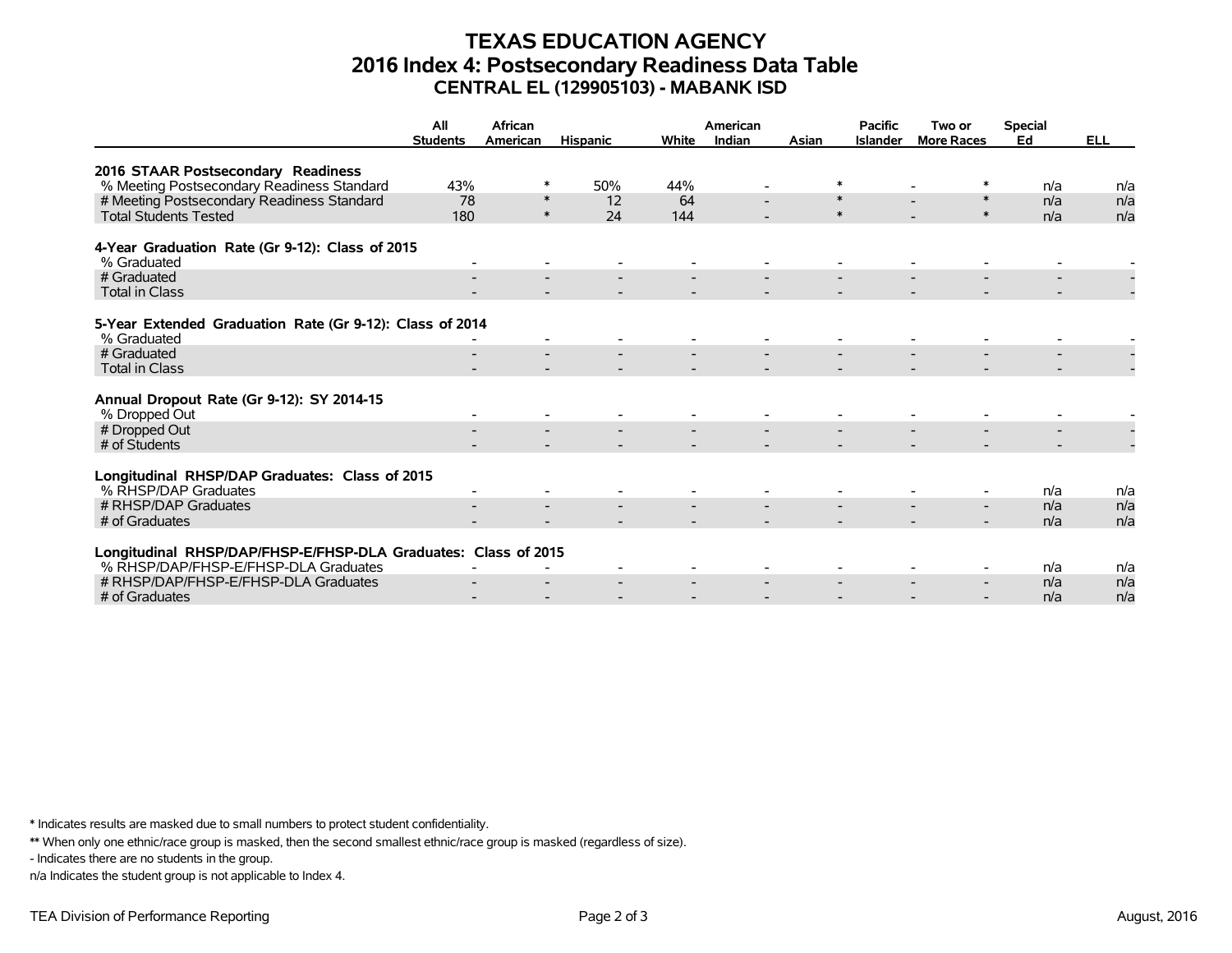## **TEXAS EDUCATION AGENCY 2016 Index 4: Postsecondary Readiness Data Table CENTRAL EL (129905103) - MABANK ISD**

|                                                                | All<br><b>Students</b> | African<br>American | <b>Hispanic</b> | White | American<br>Indian | Asian  | <b>Pacific</b><br><b>Islander</b> | Two or<br><b>More Races</b> | <b>Special</b><br>Ed | <b>ELL</b> |
|----------------------------------------------------------------|------------------------|---------------------|-----------------|-------|--------------------|--------|-----------------------------------|-----------------------------|----------------------|------------|
|                                                                |                        |                     |                 |       |                    |        |                                   |                             |                      |            |
| 2016 STAAR Postsecondary Readiness                             |                        |                     |                 |       |                    |        |                                   |                             |                      |            |
| % Meeting Postsecondary Readiness Standard                     | 43%                    | ∗                   | 50%             | 44%   |                    | ∗      |                                   |                             | n/a                  | n/a        |
| # Meeting Postsecondary Readiness Standard                     | 78                     | $\ast$              | 12              | 64    |                    | $\ast$ |                                   | $\ast$                      | n/a                  | n/a        |
| <b>Total Students Tested</b>                                   | 180                    | $\ast$              | 24              | 144   |                    | $\ast$ |                                   | $\ast$                      | n/a                  | n/a        |
|                                                                |                        |                     |                 |       |                    |        |                                   |                             |                      |            |
| 4-Year Graduation Rate (Gr 9-12): Class of 2015<br>% Graduated |                        |                     |                 |       |                    |        |                                   |                             |                      |            |
| # Graduated                                                    |                        |                     |                 |       |                    |        |                                   |                             |                      |            |
| <b>Total in Class</b>                                          |                        |                     |                 |       |                    |        |                                   |                             |                      |            |
|                                                                |                        |                     |                 |       |                    |        |                                   |                             |                      |            |
| 5-Year Extended Graduation Rate (Gr 9-12): Class of 2014       |                        |                     |                 |       |                    |        |                                   |                             |                      |            |
| % Graduated                                                    |                        |                     |                 |       |                    |        |                                   |                             |                      |            |
| # Graduated<br><b>Total in Class</b>                           |                        |                     |                 |       |                    |        |                                   |                             |                      |            |
|                                                                |                        |                     |                 |       |                    |        |                                   |                             |                      |            |
| Annual Dropout Rate (Gr 9-12): SY 2014-15                      |                        |                     |                 |       |                    |        |                                   |                             |                      |            |
| % Dropped Out                                                  |                        |                     |                 |       |                    |        |                                   |                             |                      |            |
| # Dropped Out                                                  |                        |                     |                 |       |                    |        |                                   |                             |                      |            |
| # of Students                                                  |                        |                     |                 |       |                    |        |                                   |                             |                      |            |
|                                                                |                        |                     |                 |       |                    |        |                                   |                             |                      |            |
| Longitudinal RHSP/DAP Graduates: Class of 2015                 |                        |                     |                 |       |                    |        |                                   |                             |                      |            |
| % RHSP/DAP Graduates                                           |                        |                     |                 |       |                    |        |                                   |                             | n/a                  | n/a        |
| # RHSP/DAP Graduates                                           |                        |                     |                 |       |                    |        |                                   |                             | n/a                  | n/a        |
| # of Graduates                                                 |                        |                     |                 |       |                    |        |                                   |                             | n/a                  | n/a        |
|                                                                |                        |                     |                 |       |                    |        |                                   |                             |                      |            |
| Longitudinal RHSP/DAP/FHSP-E/FHSP-DLA Graduates: Class of 2015 |                        |                     |                 |       |                    |        |                                   |                             |                      |            |
| % RHSP/DAP/FHSP-E/FHSP-DLA Graduates                           |                        |                     |                 |       |                    |        |                                   |                             | n/a                  | n/a        |
| # RHSP/DAP/FHSP-E/FHSP-DLA Graduates                           |                        |                     |                 |       |                    |        |                                   |                             | n/a                  | n/a        |
| # of Graduates                                                 |                        |                     |                 |       |                    |        |                                   |                             | n/a                  | n/a        |

\* Indicates results are masked due to small numbers to protect student confidentiality.

\*\* When only one ethnic/race group is masked, then the second smallest ethnic/race group is masked (regardless of size).

- Indicates there are no students in the group.

n/a Indicates the student group is not applicable to Index 4.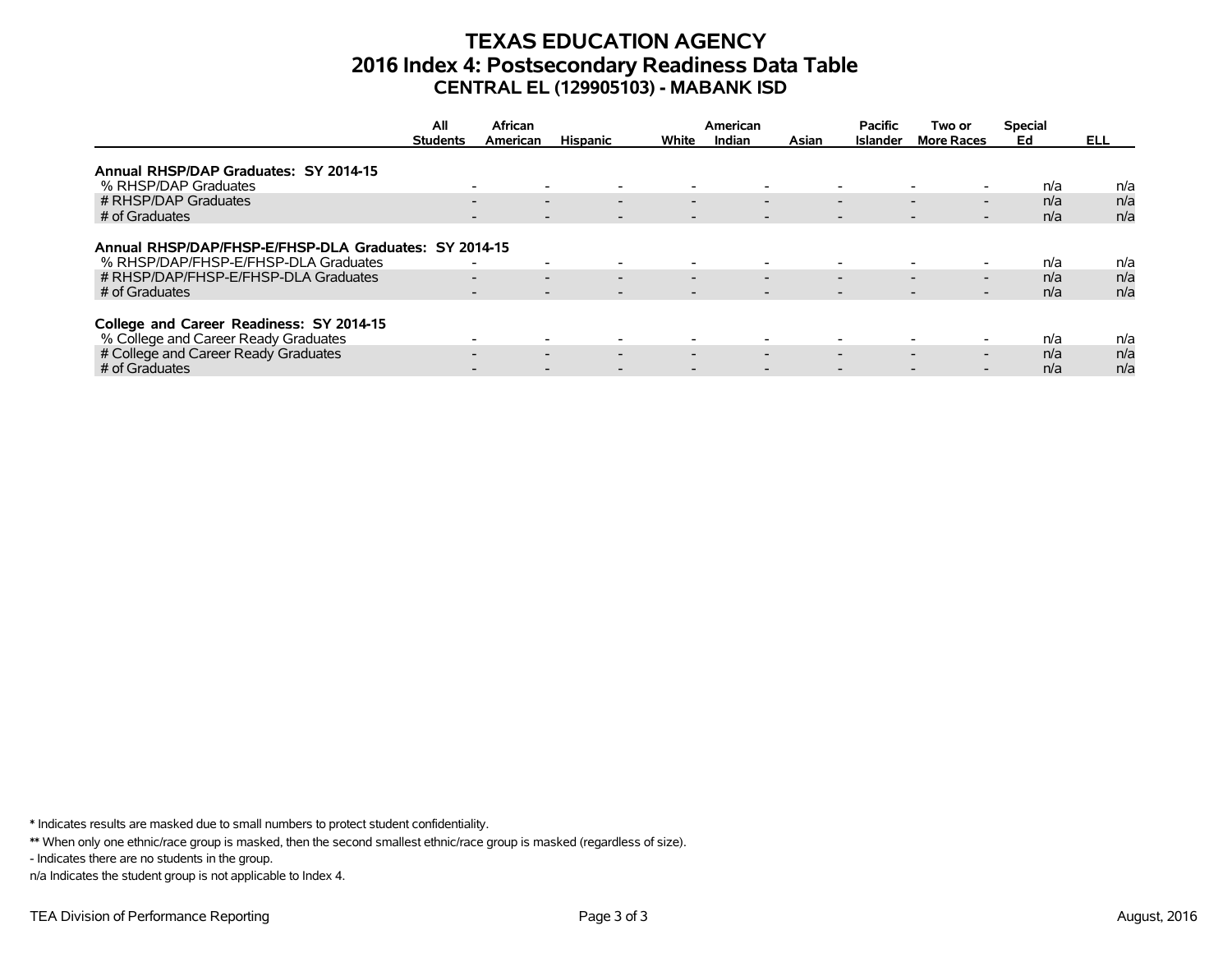## **TEXAS EDUCATION AGENCY 2016 Index 4: Postsecondary Readiness Data Table CENTRAL EL (129905103) - MABANK ISD**

|                                                       | All<br>African  |                                                      |                          | American                 |                          |                          | Two or                   | <b>Special</b>                                       |     |      |
|-------------------------------------------------------|-----------------|------------------------------------------------------|--------------------------|--------------------------|--------------------------|--------------------------|--------------------------|------------------------------------------------------|-----|------|
|                                                       | <b>Students</b> | American                                             | <b>Hispanic</b>          | White                    | Indian                   | Asian                    | <b>Islander</b>          | <b>More Races</b>                                    | Ed  | ELL. |
|                                                       |                 |                                                      |                          |                          |                          |                          |                          |                                                      |     |      |
| Annual RHSP/DAP Graduates: SY 2014-15                 |                 |                                                      |                          |                          |                          |                          |                          |                                                      |     |      |
| % RHSP/DAP Graduates                                  |                 | $\overline{\phantom{a}}$                             |                          |                          | $\overline{\phantom{0}}$ |                          | $\overline{\phantom{0}}$ |                                                      | n/a | n/a  |
| # RHSP/DAP Graduates                                  |                 | $\overline{\phantom{0}}$<br>$\overline{\phantom{0}}$ | $\overline{\phantom{0}}$ | $\overline{\phantom{0}}$ | $\overline{\phantom{0}}$ |                          | $\overline{\phantom{0}}$ | $\overline{\phantom{0}}$<br>$\overline{\phantom{0}}$ | n/a | n/a  |
| # of Graduates                                        |                 | $\overline{\phantom{a}}$                             |                          |                          | $\overline{\phantom{a}}$ | $\overline{\phantom{a}}$ |                          | $\overline{\phantom{a}}$                             | n/a | n/a  |
|                                                       |                 |                                                      |                          |                          |                          |                          |                          |                                                      |     |      |
| Annual RHSP/DAP/FHSP-E/FHSP-DLA Graduates: SY 2014-15 |                 |                                                      |                          |                          |                          |                          |                          |                                                      |     |      |
| % RHSP/DAP/FHSP-E/FHSP-DLA Graduates                  |                 | $\overline{\phantom{a}}$<br>$\overline{\phantom{0}}$ |                          |                          | $\overline{\phantom{0}}$ |                          | $\overline{\phantom{0}}$ |                                                      | n/a | n/a  |
| # RHSP/DAP/FHSP-E/FHSP-DLA Graduates                  |                 | $\overline{\phantom{0}}$<br>$\overline{\phantom{0}}$ | $\overline{\phantom{0}}$ | $\overline{\phantom{0}}$ | $\overline{\phantom{0}}$ |                          | $\overline{\phantom{0}}$ | $\overline{\phantom{0}}$<br>$\overline{\phantom{0}}$ | n/a | n/a  |
| # of Graduates                                        |                 | $\overline{\phantom{a}}$<br>$\overline{\phantom{0}}$ |                          | $\overline{\phantom{0}}$ | $\overline{\phantom{0}}$ |                          | $\overline{\phantom{0}}$ | $\overline{\phantom{0}}$<br>-                        | n/a | n/a  |
|                                                       |                 |                                                      |                          |                          |                          |                          |                          |                                                      |     |      |
| College and Career Readiness: SY 2014-15              |                 |                                                      |                          |                          |                          |                          |                          |                                                      |     |      |
| % College and Career Ready Graduates                  |                 | $\overline{\phantom{0}}$                             |                          |                          | $\overline{\phantom{0}}$ |                          | $\overline{\phantom{0}}$ |                                                      | n/a | n/a  |
| # College and Career Ready Graduates                  |                 | $\overline{\phantom{0}}$<br>$\overline{\phantom{0}}$ | $\overline{\phantom{0}}$ | $\overline{\phantom{0}}$ | $\overline{\phantom{0}}$ |                          | $\overline{\phantom{0}}$ | $\overline{\phantom{0}}$<br>$\overline{\phantom{0}}$ | n/a | n/a  |
| # of Graduates                                        |                 |                                                      |                          |                          |                          |                          |                          |                                                      | n/a | n/a  |

\* Indicates results are masked due to small numbers to protect student confidentiality.

\*\* When only one ethnic/race group is masked, then the second smallest ethnic/race group is masked (regardless of size).

- Indicates there are no students in the group.

n/a Indicates the student group is not applicable to Index 4.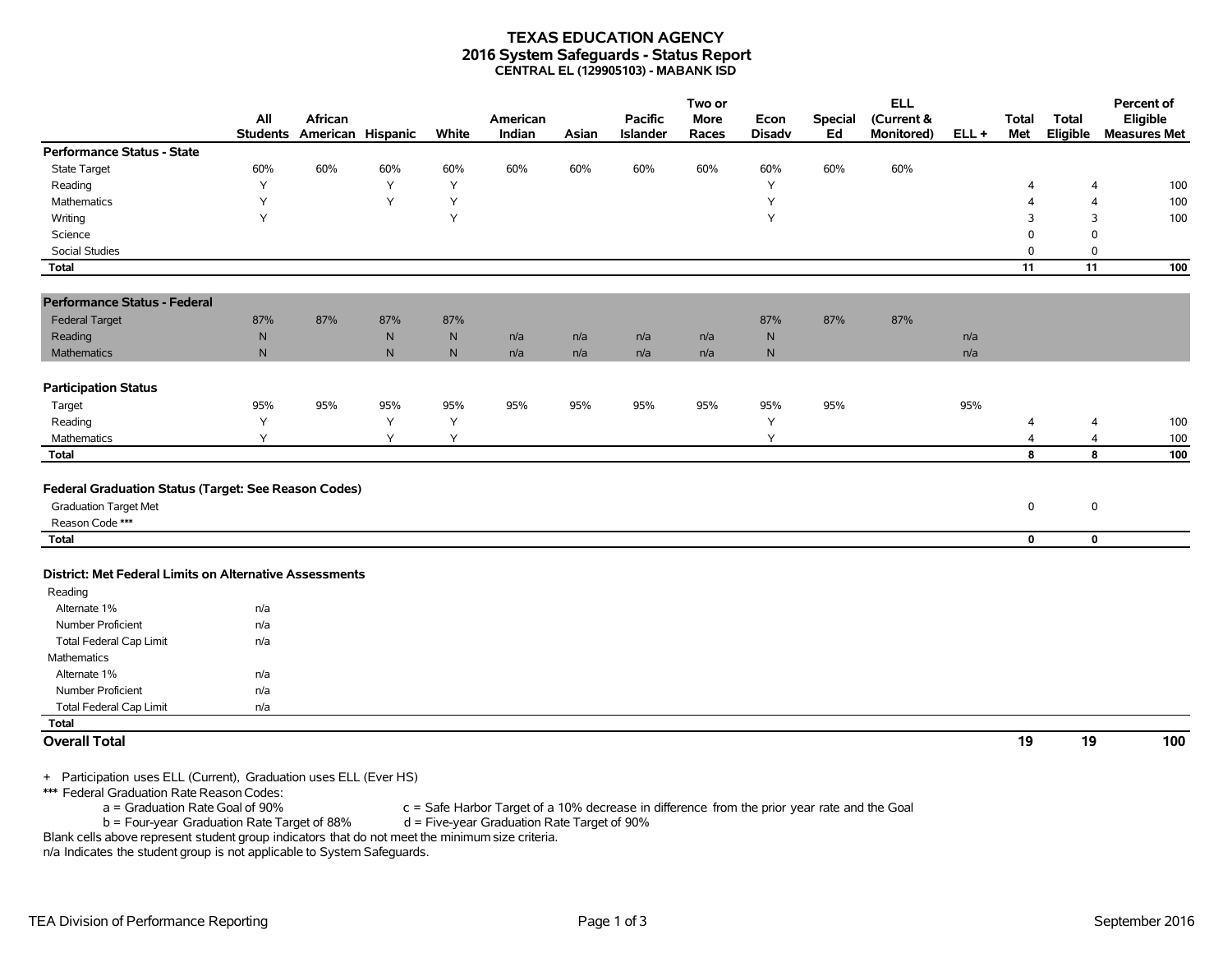#### **TEXAS EDUCATION AGENCY 2016 System Safeguards - Status Report CENTRAL EL (129905103) - MABANK ISD**

|                                                         | All             | African |                   |              | American |       | <b>Pacific</b> | Two or<br><b>More</b> | Econ          | <b>Special</b> | <b>ELL</b><br>(Current & |         | <b>Total</b>            | <b>Total</b>   | Percent of<br>Eligible |
|---------------------------------------------------------|-----------------|---------|-------------------|--------------|----------|-------|----------------|-----------------------|---------------|----------------|--------------------------|---------|-------------------------|----------------|------------------------|
|                                                         | <b>Students</b> |         | American Hispanic | White        | Indian   | Asian | Islander       | Races                 | <b>Disadv</b> | Ed             | Monitored)               | $ELL +$ | Met                     | Eligible       | <b>Measures Met</b>    |
| <b>Performance Status - State</b>                       |                 |         |                   |              |          |       |                |                       |               |                |                          |         |                         |                |                        |
| <b>State Target</b>                                     | 60%             | 60%     | 60%               | 60%          | 60%      | 60%   | 60%            | 60%                   | 60%           | 60%            | 60%                      |         |                         |                |                        |
| Reading                                                 | Υ               |         | Y                 | Υ            |          |       |                |                       | Υ             |                |                          |         | 4                       | $\overline{4}$ | 100                    |
| Mathematics                                             | Υ               |         | Y                 | Y            |          |       |                |                       | Y             |                |                          |         | $\overline{4}$          | $\overline{4}$ | 100                    |
| Writing                                                 | Y               |         |                   | Y            |          |       |                |                       | Y             |                |                          |         | 3                       | 3              | 100                    |
| Science                                                 |                 |         |                   |              |          |       |                |                       |               |                |                          |         | $\mathbf 0$             | $\mathbf 0$    |                        |
| Social Studies                                          |                 |         |                   |              |          |       |                |                       |               |                |                          |         | 0                       | 0              |                        |
| <b>Total</b>                                            |                 |         |                   |              |          |       |                |                       |               |                |                          |         | 11                      | 11             | 100                    |
| <b>Performance Status - Federal</b>                     |                 |         |                   |              |          |       |                |                       |               |                |                          |         |                         |                |                        |
| <b>Federal Target</b>                                   | 87%             | 87%     | 87%               | 87%          |          |       |                |                       | 87%           | 87%            | 87%                      |         |                         |                |                        |
| Reading                                                 | ${\sf N}$       |         | ${\sf N}$         | ${\sf N}$    | n/a      | n/a   | n/a            | n/a                   | N             |                |                          | n/a     |                         |                |                        |
| Mathematics                                             | $\mathsf{N}$    |         | N                 | $\mathsf{N}$ | n/a      | n/a   | n/a            | n/a                   | N             |                |                          | n/a     |                         |                |                        |
|                                                         |                 |         |                   |              |          |       |                |                       |               |                |                          |         |                         |                |                        |
| <b>Participation Status</b>                             |                 |         |                   |              |          |       |                |                       |               |                |                          |         |                         |                |                        |
| Target                                                  | 95%             | 95%     | 95%               | 95%          | 95%      | 95%   | 95%            | 95%                   | 95%           | 95%            |                          | 95%     |                         |                |                        |
| Reading                                                 | Y               |         | Y                 | Y            |          |       |                |                       | Y             |                |                          |         | $\overline{\mathbf{4}}$ | $\overline{a}$ | 100                    |
| Mathematics                                             | Υ               |         | Y                 | Y            |          |       |                |                       | Y             |                |                          |         | 4                       | $\overline{4}$ | 100                    |
| <b>Total</b>                                            |                 |         |                   |              |          |       |                |                       |               |                |                          |         | 8                       | 8              | 100                    |
|                                                         |                 |         |                   |              |          |       |                |                       |               |                |                          |         |                         |                |                        |
| Federal Graduation Status (Target: See Reason Codes)    |                 |         |                   |              |          |       |                |                       |               |                |                          |         |                         |                |                        |
| <b>Graduation Target Met</b>                            |                 |         |                   |              |          |       |                |                       |               |                |                          |         | 0                       | $\mathbf 0$    |                        |
| Reason Code ***                                         |                 |         |                   |              |          |       |                |                       |               |                |                          |         |                         |                |                        |
| Total                                                   |                 |         |                   |              |          |       |                |                       |               |                |                          |         | $\mathbf 0$             | $\mathbf 0$    |                        |
|                                                         |                 |         |                   |              |          |       |                |                       |               |                |                          |         |                         |                |                        |
| District: Met Federal Limits on Alternative Assessments |                 |         |                   |              |          |       |                |                       |               |                |                          |         |                         |                |                        |
| Reading                                                 |                 |         |                   |              |          |       |                |                       |               |                |                          |         |                         |                |                        |
| Alternate 1%                                            | n/a             |         |                   |              |          |       |                |                       |               |                |                          |         |                         |                |                        |
| <b>Number Proficient</b>                                | n/a             |         |                   |              |          |       |                |                       |               |                |                          |         |                         |                |                        |
| <b>Total Federal Cap Limit</b>                          | n/a             |         |                   |              |          |       |                |                       |               |                |                          |         |                         |                |                        |
| Mathematics                                             |                 |         |                   |              |          |       |                |                       |               |                |                          |         |                         |                |                        |
| Alternate 1%                                            | n/a             |         |                   |              |          |       |                |                       |               |                |                          |         |                         |                |                        |
| Number Proficient                                       | n/a             |         |                   |              |          |       |                |                       |               |                |                          |         |                         |                |                        |
| <b>Total Federal Cap Limit</b>                          | n/a             |         |                   |              |          |       |                |                       |               |                |                          |         |                         |                |                        |
| <b>Total</b>                                            |                 |         |                   |              |          |       |                |                       |               |                |                          |         |                         |                |                        |
| <b>Overall Total</b>                                    |                 |         |                   |              |          |       |                |                       |               |                |                          |         | 19                      | 19             | 100                    |
|                                                         |                 |         |                   |              |          |       |                |                       |               |                |                          |         |                         |                |                        |

+ Participation uses ELL (Current), Graduation uses ELL (Ever HS)

\*\*\* Federal Graduation Rate Reason Codes:

 $a =$  Graduation Rate Goal of 90% c = Safe Harbor Target of a 10% decrease in difference from the prior year rate and the Goal b = Four-year Graduation Rate Target of 90%  $b =$  Four-year Graduation Rate Target of 88%

Blank cells above represent student group indicators that do not meet the minimum size criteria.

n/a Indicates the student group is not applicable to System Safeguards.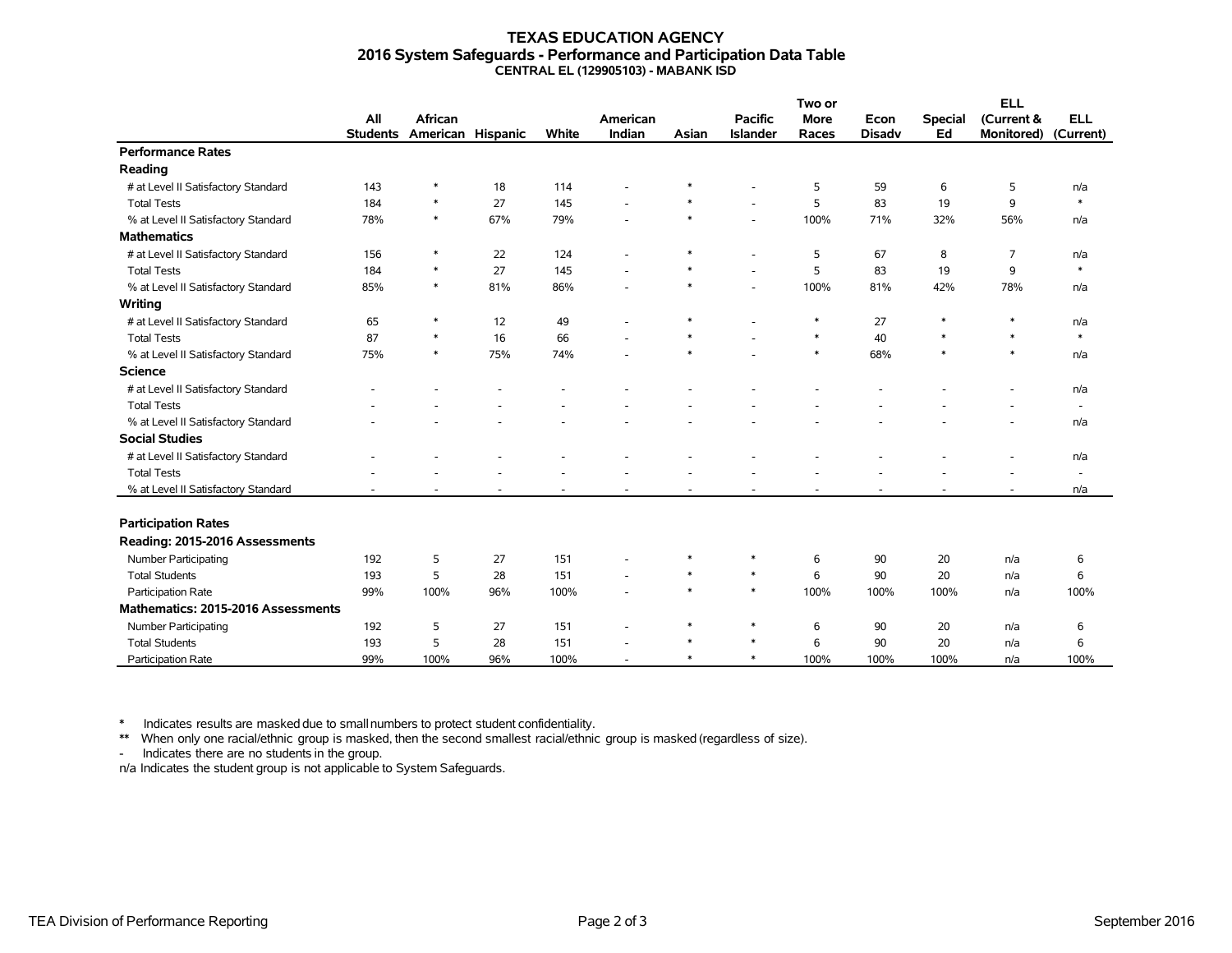#### **TEXAS EDUCATION AGENCY 2016 System Safeguards - Performance and Participation Data Table CENTRAL EL (129905103) - MABANK ISD**

|                                     |                 |                   |     |       |                          |        |                 | Two or      |               | <b>ELL</b>     |                   |                          |
|-------------------------------------|-----------------|-------------------|-----|-------|--------------------------|--------|-----------------|-------------|---------------|----------------|-------------------|--------------------------|
|                                     | All             | <b>African</b>    |     |       | American                 |        | <b>Pacific</b>  | <b>More</b> | Econ          | <b>Special</b> | (Current &        | <b>ELL</b>               |
|                                     | <b>Students</b> | American Hispanic |     | White | Indian                   | Asian  | <b>Islander</b> | Races       | <b>Disady</b> | Ed             | <b>Monitored)</b> | (Current)                |
| <b>Performance Rates</b>            |                 |                   |     |       |                          |        |                 |             |               |                |                   |                          |
| Reading                             |                 |                   |     |       |                          |        |                 |             |               |                |                   |                          |
| # at Level II Satisfactory Standard | 143             | *                 | 18  | 114   |                          |        |                 | 5           | 59            | 6              | 5                 | n/a                      |
| <b>Total Tests</b>                  | 184             | $\ast$            | 27  | 145   |                          | $\ast$ | ÷.              | 5           | 83            | 19             | 9                 | $\ast$                   |
| % at Level II Satisfactory Standard | 78%             | $\ast$            | 67% | 79%   |                          | $\ast$ | $\overline{a}$  | 100%        | 71%           | 32%            | 56%               | n/a                      |
| <b>Mathematics</b>                  |                 |                   |     |       |                          |        |                 |             |               |                |                   |                          |
| # at Level II Satisfactory Standard | 156             | $\ast$            | 22  | 124   | $\overline{\phantom{a}}$ | $\ast$ | ٠               | 5           | 67            | 8              | 7                 | n/a                      |
| <b>Total Tests</b>                  | 184             | $\ast$            | 27  | 145   |                          | $\ast$ | ÷.              | 5           | 83            | 19             | 9                 | $\ast$                   |
| % at Level II Satisfactory Standard | 85%             | $\ast$            | 81% | 86%   |                          | $\ast$ |                 | 100%        | 81%           | 42%            | 78%               | n/a                      |
| Writing                             |                 |                   |     |       |                          |        |                 |             |               |                |                   |                          |
| # at Level II Satisfactory Standard | 65              | $\ast$            | 12  | 49    |                          | $\ast$ |                 | $\ast$      | 27            | $\ast$         | $\ast$            | n/a                      |
| <b>Total Tests</b>                  | 87              | $\ast$            | 16  | 66    |                          | $\ast$ |                 | $\ast$      | 40            | $\ast$         | $\ast$            | $\ast$                   |
| % at Level II Satisfactory Standard | 75%             | $\ast$            | 75% | 74%   |                          | $\ast$ |                 | $\ast$      | 68%           | $\ast$         | $\ast$            | n/a                      |
| <b>Science</b>                      |                 |                   |     |       |                          |        |                 |             |               |                |                   |                          |
| # at Level II Satisfactory Standard |                 |                   |     |       |                          |        |                 |             |               |                |                   | n/a                      |
| <b>Total Tests</b>                  |                 |                   |     |       |                          |        |                 |             |               |                |                   | $\sim$                   |
| % at Level II Satisfactory Standard |                 |                   |     |       |                          |        |                 |             |               |                |                   | n/a                      |
| <b>Social Studies</b>               |                 |                   |     |       |                          |        |                 |             |               |                |                   |                          |
| # at Level II Satisfactory Standard |                 |                   |     |       |                          |        |                 |             |               |                |                   | n/a                      |
| <b>Total Tests</b>                  |                 |                   |     |       |                          |        |                 |             |               |                |                   | $\overline{\phantom{a}}$ |
| % at Level II Satisfactory Standard |                 |                   |     |       |                          |        |                 |             |               |                |                   | n/a                      |
|                                     |                 |                   |     |       |                          |        |                 |             |               |                |                   |                          |
| <b>Participation Rates</b>          |                 |                   |     |       |                          |        |                 |             |               |                |                   |                          |
| Reading: 2015-2016 Assessments      |                 |                   |     |       |                          |        |                 |             |               |                |                   |                          |
| <b>Number Participating</b>         | 192             | 5                 | 27  | 151   |                          | $\ast$ | $\ast$          | 6           | 90            | 20             | n/a               | 6                        |
| <b>Total Students</b>               | 193             | 5                 | 28  | 151   |                          | $\ast$ | $\ast$          | 6           | 90            | 20             | n/a               | 6                        |
| Participation Rate                  | 99%             | 100%              | 96% | 100%  |                          | $\ast$ | $\ast$          | 100%        | 100%          | 100%           | n/a               | 100%                     |
| Mathematics: 2015-2016 Assessments  |                 |                   |     |       |                          |        |                 |             |               |                |                   |                          |
| Number Participating                | 192             | 5                 | 27  | 151   |                          | $\ast$ | $\ast$          | 6           | 90            | 20             | n/a               | 6                        |
| <b>Total Students</b>               | 193             | 5                 | 28  | 151   |                          | $\ast$ | $\ast$          | 6           | 90            | 20             | n/a               | 6                        |
| Participation Rate                  | 99%             | 100%              | 96% | 100%  |                          | $\ast$ | $\ast$          | 100%        | 100%          | 100%           | n/a               | 100%                     |

\* Indicates results are masked due to smallnumbers to protect student confidentiality.

\*\* When only one racial/ethnic group is masked, then the second smallest racial/ethnic group is masked (regardless of size).

- Indicates there are no students in the group.

n/a Indicates the student group is not applicable to System Safeguards.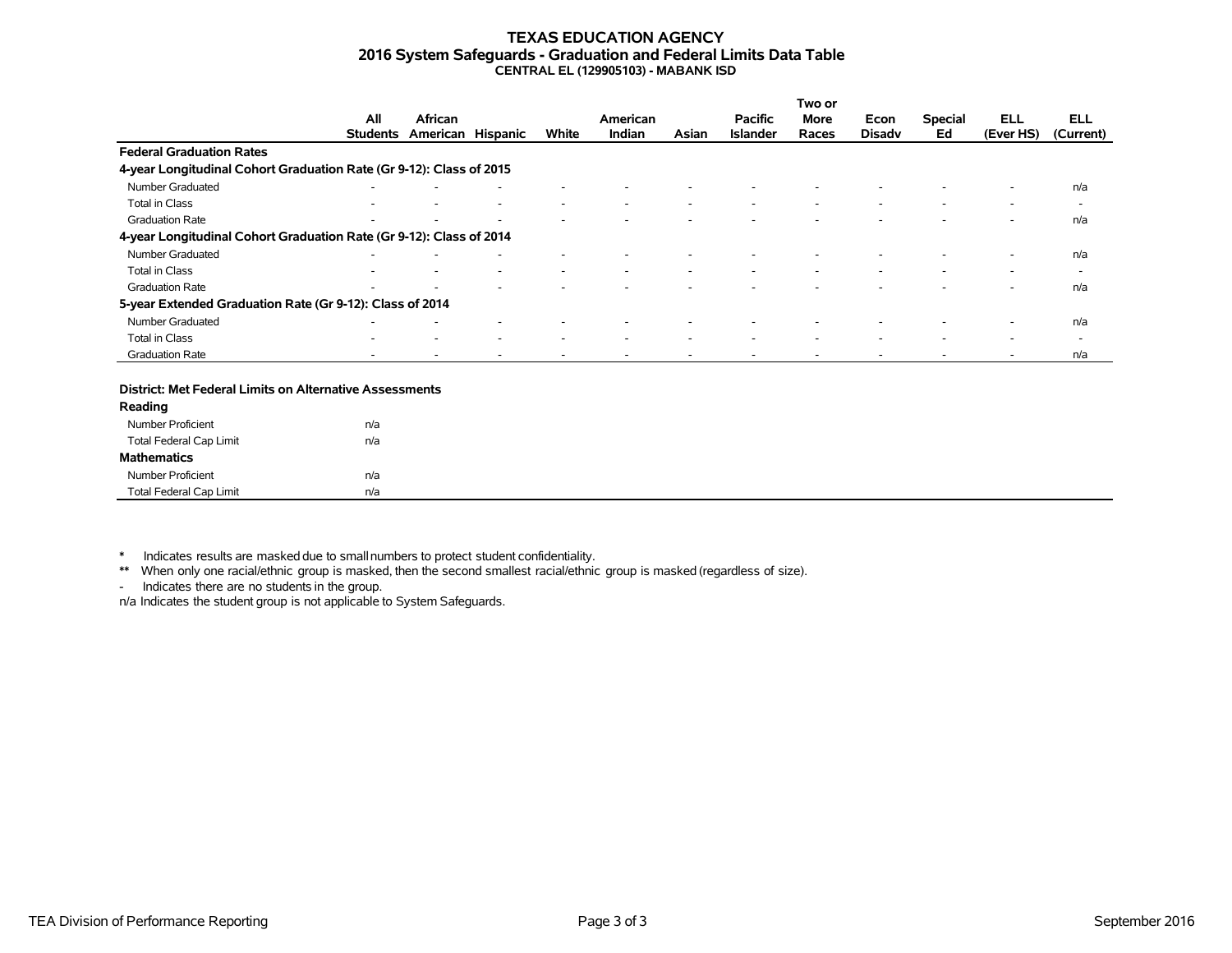#### **TEXAS EDUCATION AGENCY 2016 System Safeguards - Graduation and Federal Limits Data Table CENTRAL EL (129905103) - MABANK ISD**

|                                                                     |                 |                   |   |                          |          |       |                 | Two or                   |                          |                          |           |                          |
|---------------------------------------------------------------------|-----------------|-------------------|---|--------------------------|----------|-------|-----------------|--------------------------|--------------------------|--------------------------|-----------|--------------------------|
|                                                                     | All             | African           |   |                          | American |       | <b>Pacific</b>  | More                     | Econ                     | <b>Special</b>           | ELL       | <b>ELL</b>               |
|                                                                     | <b>Students</b> | American Hispanic |   | White                    | Indian   | Asian | <b>Islander</b> | Races                    | <b>Disady</b>            | Ed                       | (Ever HS) | (Current)                |
| <b>Federal Graduation Rates</b>                                     |                 |                   |   |                          |          |       |                 |                          |                          |                          |           |                          |
| 4-year Longitudinal Cohort Graduation Rate (Gr 9-12): Class of 2015 |                 |                   |   |                          |          |       |                 |                          |                          |                          |           |                          |
| Number Graduated                                                    |                 |                   |   |                          |          |       |                 |                          |                          |                          | ۰         | n/a                      |
| Total in Class                                                      |                 |                   | ۰ | $\overline{\phantom{a}}$ | ۰        |       |                 | $\overline{\phantom{a}}$ | $\overline{\phantom{a}}$ | $\overline{\phantom{a}}$ | ٠         | $\overline{\phantom{a}}$ |
| <b>Graduation Rate</b>                                              |                 |                   |   |                          |          |       |                 |                          |                          |                          |           | n/a                      |
| 4-year Longitudinal Cohort Graduation Rate (Gr 9-12): Class of 2014 |                 |                   |   |                          |          |       |                 |                          |                          |                          |           |                          |
| Number Graduated                                                    |                 |                   |   |                          |          |       |                 |                          |                          |                          | $\sim$    | n/a                      |
| Total in Class                                                      |                 |                   |   | $\overline{\phantom{a}}$ |          |       |                 |                          |                          |                          | -         | $\overline{\phantom{0}}$ |
| <b>Graduation Rate</b>                                              | -               |                   |   |                          |          |       |                 |                          |                          |                          | ۰         | n/a                      |
| 5-year Extended Graduation Rate (Gr 9-12): Class of 2014            |                 |                   |   |                          |          |       |                 |                          |                          |                          |           |                          |
| Number Graduated                                                    |                 |                   |   |                          |          |       |                 |                          |                          |                          |           | n/a                      |
| Total in Class                                                      | ۰               |                   | ۰ | $\overline{\phantom{a}}$ | ۰        |       |                 | $\overline{\phantom{a}}$ | $\sim$                   | $\overline{\phantom{a}}$ | ۰         | $\overline{\phantom{0}}$ |
| <b>Graduation Rate</b>                                              |                 |                   |   |                          |          |       |                 |                          |                          |                          |           | n/a                      |

#### **District: Met Federal Limits on Alternative Assessments**

| Reading                        |     |
|--------------------------------|-----|
| Number Proficient              | n/a |
| <b>Total Federal Cap Limit</b> | n/a |
| <b>Mathematics</b>             |     |
| Number Proficient              | n/a |
| <b>Total Federal Cap Limit</b> | n/a |

\* Indicates results are masked due to smallnumbers to protect student confidentiality.

\*\* When only one racial/ethnic group is masked, then the second smallest racial/ethnic group is masked (regardless of size).

- Indicates there are no students in the group.

n/a Indicates the student group is not applicable to System Safeguards.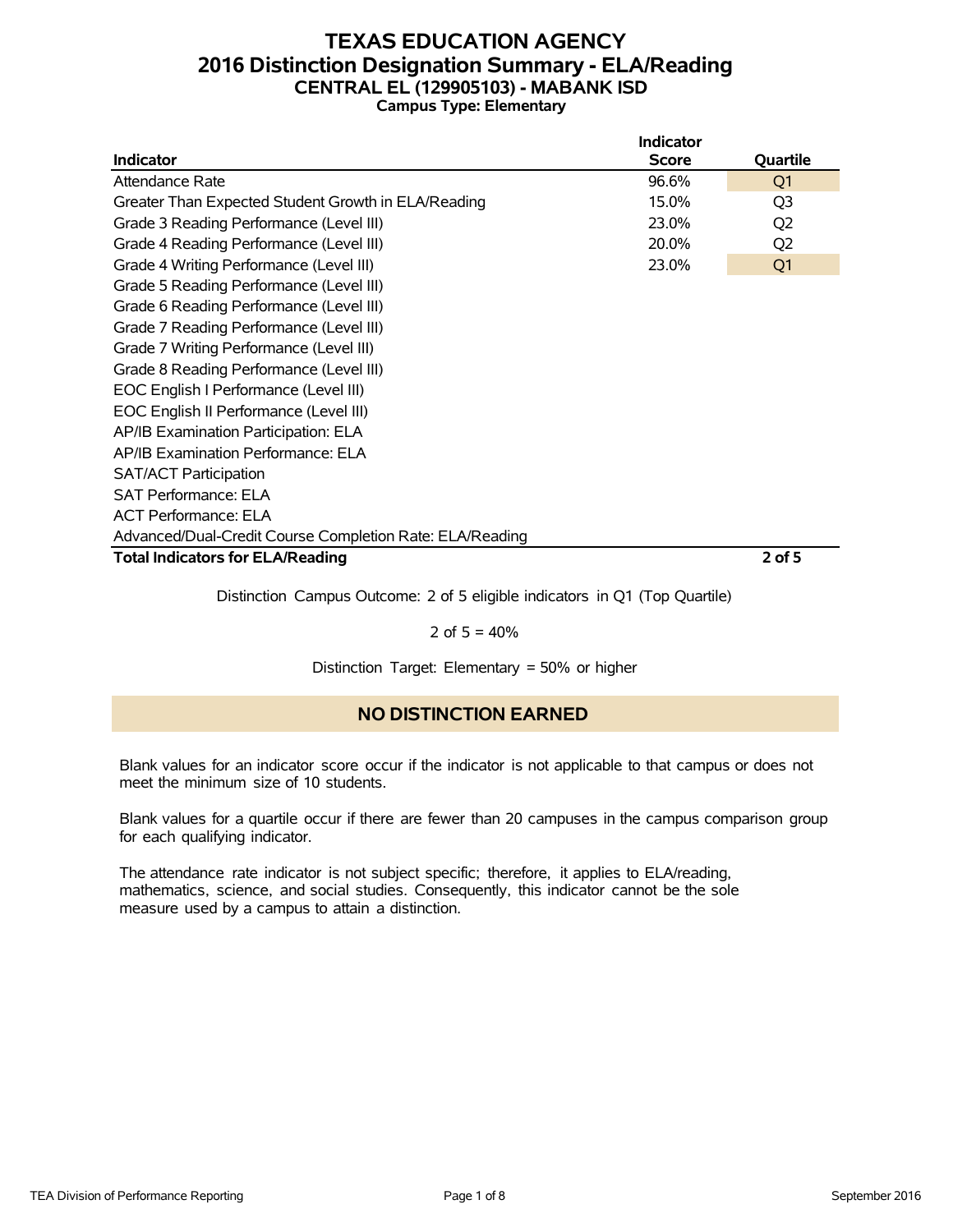### **TEXAS EDUCATION AGENCY 2016 Distinction Designation Summary - ELA/Reading CENTRAL EL (129905103) - MABANK ISD Campus Type: Elementary**

|                                                          | <b>Indicator</b> |                |
|----------------------------------------------------------|------------------|----------------|
| <b>Indicator</b>                                         | <b>Score</b>     | Quartile       |
| Attendance Rate                                          | 96.6%            | Q <sub>1</sub> |
| Greater Than Expected Student Growth in ELA/Reading      | 15.0%            | Q3             |
| Grade 3 Reading Performance (Level III)                  | 23.0%            | Q <sub>2</sub> |
| Grade 4 Reading Performance (Level III)                  | 20.0%            | Q <sub>2</sub> |
| Grade 4 Writing Performance (Level III)                  | 23.0%            | Q <sub>1</sub> |
| Grade 5 Reading Performance (Level III)                  |                  |                |
| Grade 6 Reading Performance (Level III)                  |                  |                |
| Grade 7 Reading Performance (Level III)                  |                  |                |
| Grade 7 Writing Performance (Level III)                  |                  |                |
| Grade 8 Reading Performance (Level III)                  |                  |                |
| EOC English I Performance (Level III)                    |                  |                |
| EOC English II Performance (Level III)                   |                  |                |
| AP/IB Examination Participation: ELA                     |                  |                |
| AP/IB Examination Performance: ELA                       |                  |                |
| <b>SAT/ACT Participation</b>                             |                  |                |
| <b>SAT Performance: ELA</b>                              |                  |                |
| <b>ACT Performance: ELA</b>                              |                  |                |
| Advanced/Dual-Credit Course Completion Rate: ELA/Reading |                  |                |
| <b>Total Indicators for ELA/Reading</b>                  |                  | $2$ of 5       |

Distinction Campus Outcome: 2 of 5 eligible indicators in Q1 (Top Quartile)

#### 2 of  $5 = 40%$

Distinction Target: Elementary = 50% or higher

### **NO DISTINCTION EARNED**

Blank values for an indicator score occur if the indicator is not applicable to that campus or does not meet the minimum size of 10 students.

Blank values for a quartile occur if there are fewer than 20 campuses in the campus comparison group for each qualifying indicator.

The attendance rate indicator is not subject specific; therefore, it applies to ELA/reading, mathematics, science, and social studies. Consequently, this indicator cannot be the sole measure used by a campus to attain a distinction.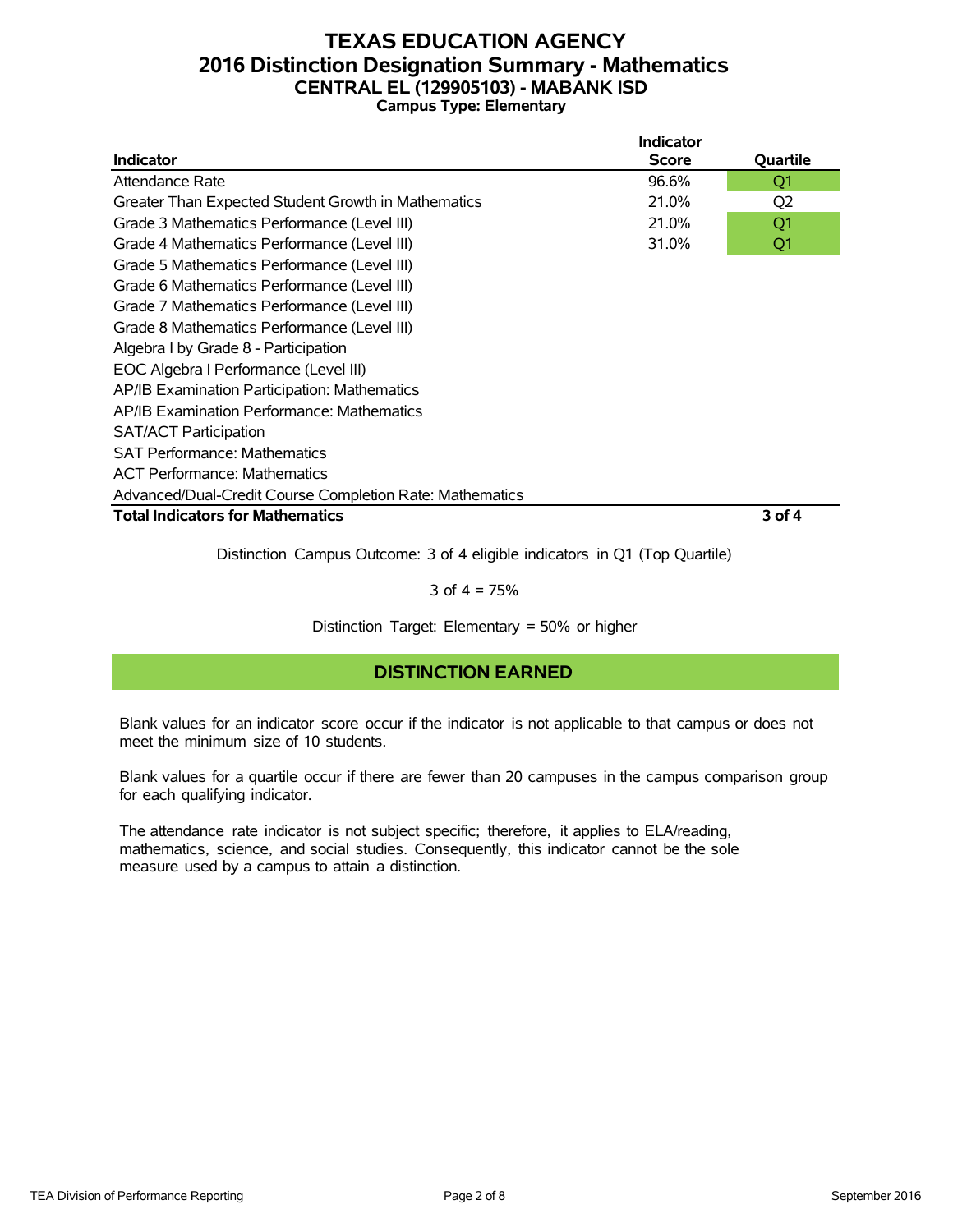### **TEXAS EDUCATION AGENCY 2016 Distinction Designation Summary - Mathematics CENTRAL EL (129905103) - MABANK ISD Campus Type: Elementary**

|                                                          | <b>Indicator</b> |                |
|----------------------------------------------------------|------------------|----------------|
| Indicator                                                | Score            | Quartile       |
| Attendance Rate                                          | 96.6%            | Q1             |
| Greater Than Expected Student Growth in Mathematics      | 21.0%            | Q <sub>2</sub> |
| Grade 3 Mathematics Performance (Level III)              | 21.0%            | Q1             |
| Grade 4 Mathematics Performance (Level III)              | 31.0%            | Q1             |
| Grade 5 Mathematics Performance (Level III)              |                  |                |
| Grade 6 Mathematics Performance (Level III)              |                  |                |
| Grade 7 Mathematics Performance (Level III)              |                  |                |
| Grade 8 Mathematics Performance (Level III)              |                  |                |
| Algebra I by Grade 8 - Participation                     |                  |                |
| EOC Algebra I Performance (Level III)                    |                  |                |
| AP/IB Examination Participation: Mathematics             |                  |                |
| AP/IB Examination Performance: Mathematics               |                  |                |
| <b>SAT/ACT Participation</b>                             |                  |                |
| <b>SAT Performance: Mathematics</b>                      |                  |                |
| <b>ACT Performance: Mathematics</b>                      |                  |                |
| Advanced/Dual-Credit Course Completion Rate: Mathematics |                  |                |
| <b>Total Indicators for Mathematics</b>                  |                  | 3 of 4         |

Distinction Campus Outcome: 3 of 4 eligible indicators in Q1 (Top Quartile)

3 of  $4 = 75%$ 

Distinction Target: Elementary = 50% or higher

### **DISTINCTION EARNED**

Blank values for an indicator score occur if the indicator is not applicable to that campus or does not meet the minimum size of 10 students.

Blank values for a quartile occur if there are fewer than 20 campuses in the campus comparison group for each qualifying indicator.

The attendance rate indicator is not subject specific; therefore, it applies to ELA/reading, mathematics, science, and social studies. Consequently, this indicator cannot be the sole measure used by a campus to attain a distinction.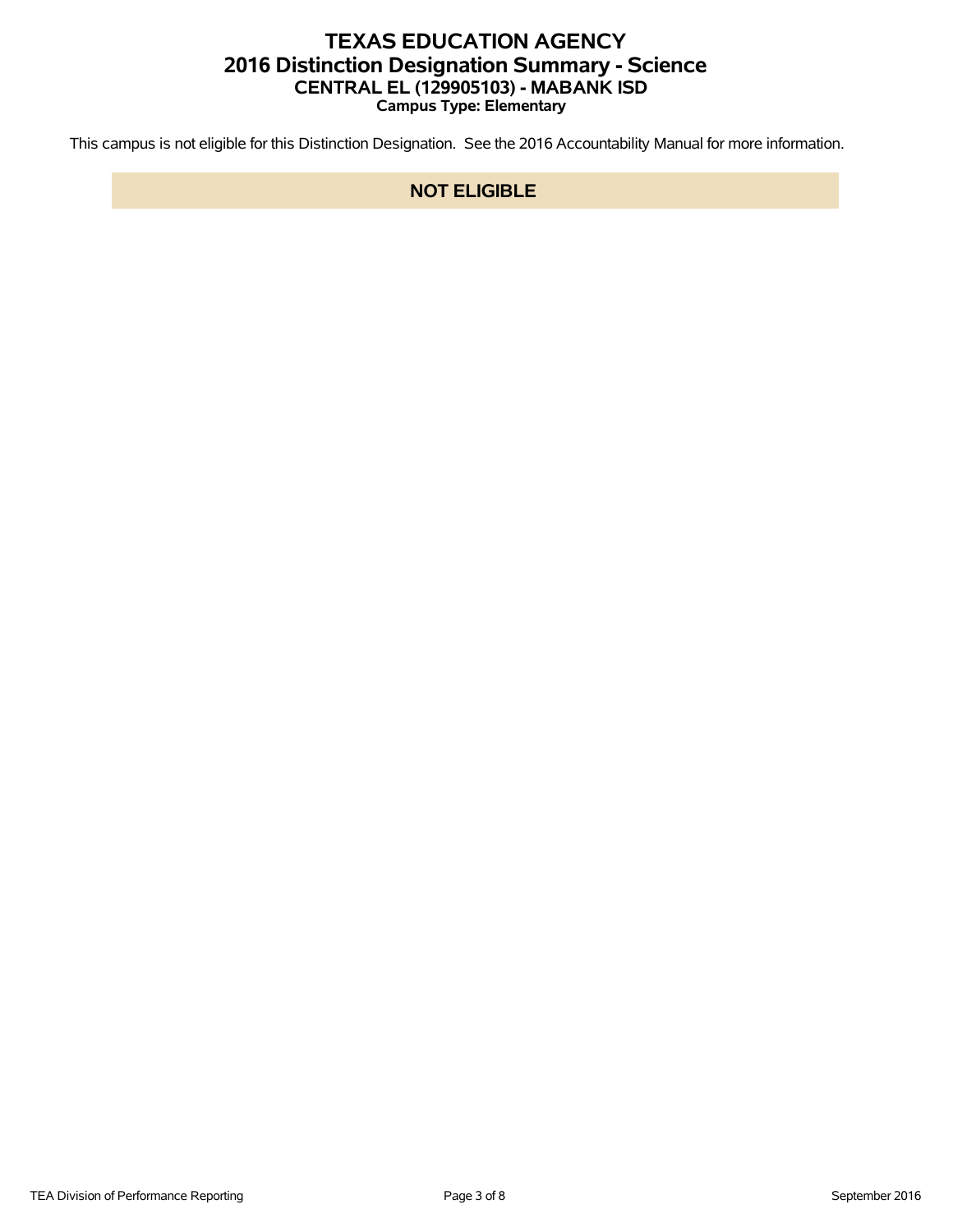## **TEXAS EDUCATION AGENCY 2016 Distinction Designation Summary - Science CENTRAL EL (129905103) - MABANK ISD Campus Type: Elementary**

This campus is not eligible for this Distinction Designation. See the 2016 Accountability Manual for more information.

### **NOT ELIGIBLE**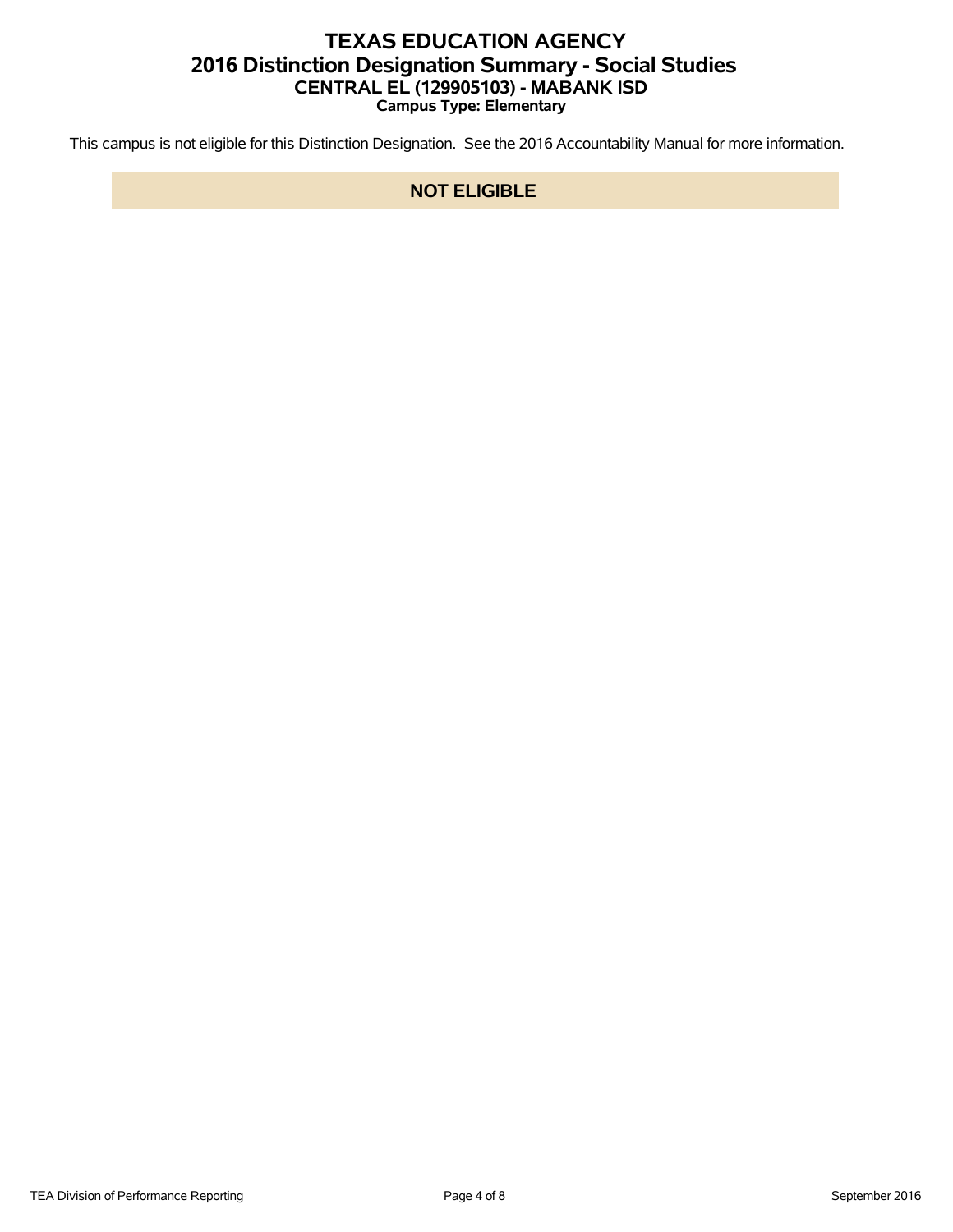## **TEXAS EDUCATION AGENCY 2016 Distinction Designation Summary - Social Studies CENTRAL EL (129905103) - MABANK ISD Campus Type: Elementary**

This campus is not eligible for this Distinction Designation. See the 2016 Accountability Manual for more information.

### **NOT ELIGIBLE**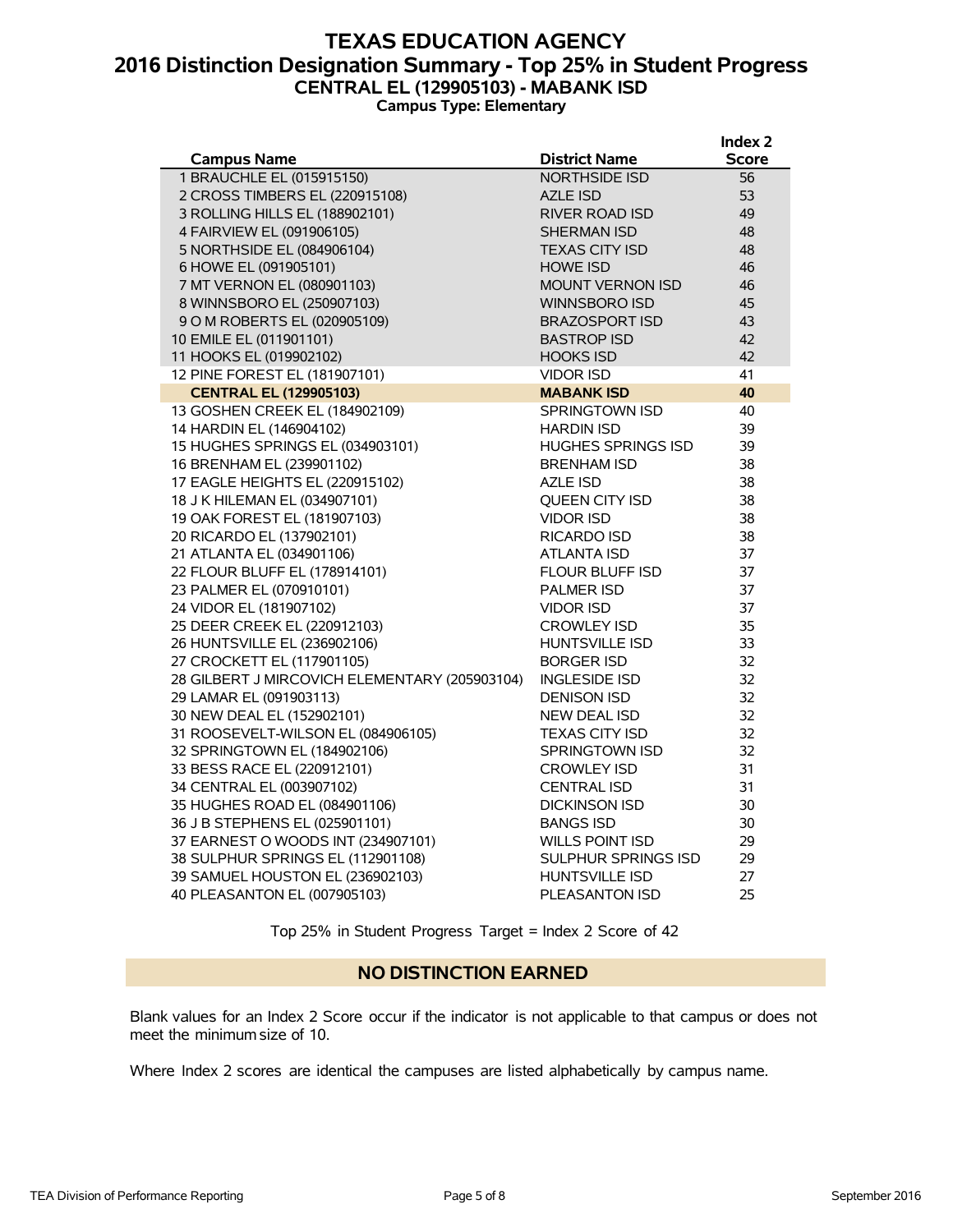### **TEXAS EDUCATION AGENCY 2016 Distinction Designation Summary - Top 25% in Student Progress CENTRAL EL (129905103) - MABANK ISD Campus Type: Elementary**

**Index 2**

|                                               |                           | muex z       |
|-----------------------------------------------|---------------------------|--------------|
| <b>Campus Name</b>                            | <b>District Name</b>      | <b>Score</b> |
| 1 BRAUCHLE EL (015915150)                     | <b>NORTHSIDE ISD</b>      | 56           |
| 2 CROSS TIMBERS EL (220915108)                | <b>AZLE ISD</b>           | 53           |
| 3 ROLLING HILLS EL (188902101)                | <b>RIVER ROAD ISD</b>     | 49           |
| 4 FAIRVIEW EL (091906105)                     | <b>SHERMAN ISD</b>        | 48           |
| 5 NORTHSIDE EL (084906104)                    | <b>TEXAS CITY ISD</b>     | 48           |
| 6 HOWE EL (091905101)                         | <b>HOWE ISD</b>           | 46           |
| 7 MT VERNON EL (080901103)                    | <b>MOUNT VERNON ISD</b>   | 46           |
| 8 WINNSBORO EL (250907103)                    | <b>WINNSBORO ISD</b>      | 45           |
| 9 O M ROBERTS EL (020905109)                  | <b>BRAZOSPORT ISD</b>     | 43           |
| 10 EMILE EL (011901101)                       | <b>BASTROP ISD</b>        | 42           |
| 11 HOOKS EL (019902102)                       | <b>HOOKS ISD</b>          | 42           |
| 12 PINE FOREST EL (181907101)                 | <b>VIDOR ISD</b>          | 41           |
| <b>CENTRAL EL (129905103)</b>                 | <b>MABANK ISD</b>         | 40           |
| 13 GOSHEN CREEK EL (184902109)                | <b>SPRINGTOWN ISD</b>     | 40           |
| 14 HARDIN EL (146904102)                      | <b>HARDIN ISD</b>         | 39           |
| 15 HUGHES SPRINGS EL (034903101)              | <b>HUGHES SPRINGS ISD</b> | 39           |
| 16 BRENHAM EL (239901102)                     | <b>BRENHAM ISD</b>        | 38           |
| 17 EAGLE HEIGHTS EL (220915102)               | <b>AZLE ISD</b>           | 38           |
| 18 J K HILEMAN EL (034907101)                 | QUEEN CITY ISD            | 38           |
| 19 OAK FOREST EL (181907103)                  | <b>VIDOR ISD</b>          | 38           |
| 20 RICARDO EL (137902101)                     | <b>RICARDO ISD</b>        | 38           |
| 21 ATLANTA EL (034901106)                     | ATLANTA ISD               | 37           |
| 22 FLOUR BLUFF EL (178914101)                 | FLOUR BLUFF ISD           | 37           |
| 23 PALMER EL (070910101)                      | <b>PALMER ISD</b>         | 37           |
| 24 VIDOR EL (181907102)                       | <b>VIDOR ISD</b>          | 37           |
| 25 DEER CREEK EL (220912103)                  | <b>CROWLEY ISD</b>        | 35           |
| 26 HUNTSVILLE EL (236902106)                  | <b>HUNTSVILLE ISD</b>     | 33           |
| 27 CROCKETT EL (117901105)                    | <b>BORGER ISD</b>         | 32           |
| 28 GILBERT J MIRCOVICH ELEMENTARY (205903104) | <b>INGLESIDE ISD</b>      | 32           |
| 29 LAMAR EL (091903113)                       | <b>DENISON ISD</b>        | 32           |
| 30 NEW DEAL EL (152902101)                    | NEW DEAL ISD              | 32           |
| 31 ROOSEVELT-WILSON EL (084906105)            | <b>TEXAS CITY ISD</b>     | 32           |
| 32 SPRINGTOWN EL (184902106)                  | <b>SPRINGTOWN ISD</b>     | 32           |
| 33 BESS RACE EL (220912101)                   | <b>CROWLEY ISD</b>        | 31           |
| 34 CENTRAL EL (003907102)                     | <b>CENTRAL ISD</b>        | 31           |
| 35 HUGHES ROAD EL (084901106)                 | <b>DICKINSON ISD</b>      | 30           |
| 36 J B STEPHENS EL (025901101)                | <b>BANGS ISD</b>          | 30           |
| 37 EARNEST O WOODS INT (234907101)            | <b>WILLS POINT ISD</b>    | 29           |
| 38 SULPHUR SPRINGS EL (112901108)             | SULPHUR SPRINGS ISD       | 29           |
| 39 SAMUEL HOUSTON EL (236902103)              | <b>HUNTSVILLE ISD</b>     | 27           |
| 40 PLEASANTON EL (007905103)                  | <b>PLEASANTON ISD</b>     | 25           |
|                                               |                           |              |

Top 25% in Student Progress Target = Index 2 Score of 42

#### **NO DISTINCTION EARNED**

Blank values for an Index 2 Score occur if the indicator is not applicable to that campus or does not meet the minimum size of 10.

Where Index 2 scores are identical the campuses are listed alphabetically by campus name.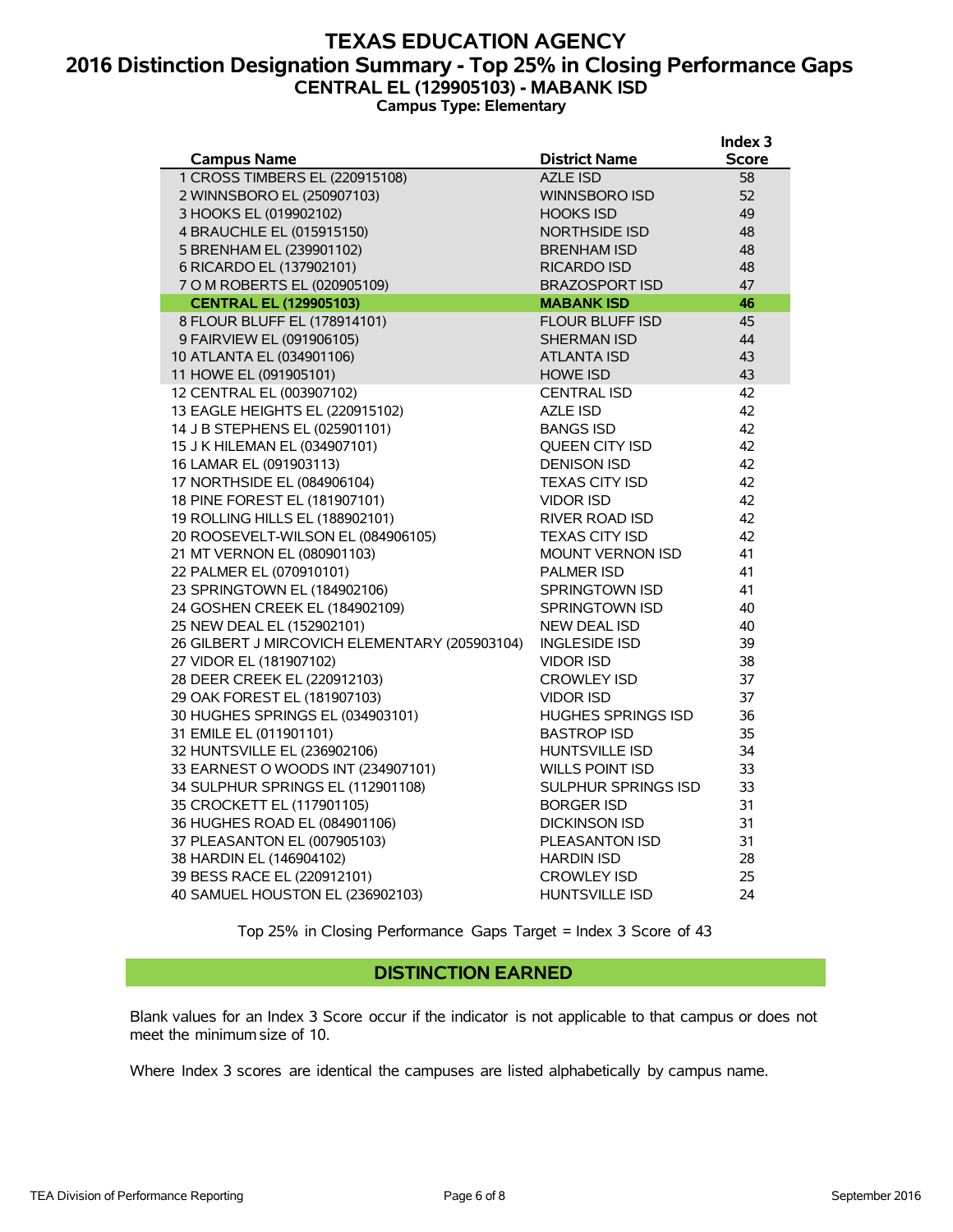### **TEXAS EDUCATION AGENCY 2016 Distinction Designation Summary - Top 25% in Closing Performance Gaps CENTRAL EL (129905103) - MABANK ISD Campus Type: Elementary**

|                                               |                           | Index 3      |
|-----------------------------------------------|---------------------------|--------------|
| <b>Campus Name</b>                            | <b>District Name</b>      | <b>Score</b> |
| 1 CROSS TIMBERS EL (220915108)                | <b>AZLE ISD</b>           | 58           |
| 2 WINNSBORO EL (250907103)                    | <b>WINNSBORO ISD</b>      | 52           |
| 3 HOOKS EL (019902102)                        | <b>HOOKS ISD</b>          | 49           |
| 4 BRAUCHLE EL (015915150)                     | <b>NORTHSIDE ISD</b>      | 48           |
| 5 BRENHAM EL (239901102)                      | <b>BRENHAM ISD</b>        | 48           |
| 6 RICARDO EL (137902101)                      | <b>RICARDO ISD</b>        | 48           |
| 7 O M ROBERTS EL (020905109)                  | <b>BRAZOSPORT ISD</b>     | 47           |
| <b>CENTRAL EL (129905103)</b>                 | <b>MABANK ISD</b>         | 46           |
| 8 FLOUR BLUFF EL (178914101)                  | <b>FLOUR BLUFF ISD</b>    | 45           |
| 9 FAIRVIEW EL (091906105)                     | <b>SHERMAN ISD</b>        | 44           |
| 10 ATLANTA EL (034901106)                     | <b>ATLANTA ISD</b>        | 43           |
| 11 HOWE EL (091905101)                        | <b>HOWE ISD</b>           | 43           |
| 12 CENTRAL EL (003907102)                     | <b>CENTRAL ISD</b>        | 42           |
| 13 EAGLE HEIGHTS EL (220915102)               | <b>AZLE ISD</b>           | 42           |
| 14 J B STEPHENS EL (025901101)                | <b>BANGS ISD</b>          | 42           |
| 15 J K HILEMAN EL (034907101)                 | <b>OUEEN CITY ISD</b>     | 42           |
| 16 LAMAR EL (091903113)                       | <b>DENISON ISD</b>        | 42           |
| 17 NORTHSIDE EL (084906104)                   | <b>TEXAS CITY ISD</b>     | 42           |
| 18 PINE FOREST EL (181907101)                 | <b>VIDOR ISD</b>          | 42           |
| 19 ROLLING HILLS EL (188902101)               | RIVER ROAD ISD            | 42           |
| 20 ROOSEVELT-WILSON EL (084906105)            | <b>TEXAS CITY ISD</b>     | 42           |
| 21 MT VERNON EL (080901103)                   | <b>MOUNT VERNON ISD</b>   | 41           |
| 22 PALMER EL (070910101)                      | <b>PALMER ISD</b>         | 41           |
| 23 SPRINGTOWN EL (184902106)                  | <b>SPRINGTOWN ISD</b>     | 41           |
| 24 GOSHEN CREEK EL (184902109)                | SPRINGTOWN ISD            | 40           |
| 25 NEW DEAL EL (152902101)                    | <b>NEW DEAL ISD</b>       | 40           |
| 26 GILBERT J MIRCOVICH ELEMENTARY (205903104) | <b>INGLESIDE ISD</b>      | 39           |
| 27 VIDOR EL (181907102)                       | <b>VIDOR ISD</b>          | 38           |
| 28 DEER CREEK EL (220912103)                  | <b>CROWLEY ISD</b>        | 37           |
| 29 OAK FOREST EL (181907103)                  | <b>VIDOR ISD</b>          | 37           |
| 30 HUGHES SPRINGS EL (034903101)              | <b>HUGHES SPRINGS ISD</b> | 36           |
| 31 EMILE EL (011901101)                       | <b>BASTROP ISD</b>        | 35           |
| 32 HUNTSVILLE EL (236902106)                  | <b>HUNTSVILLE ISD</b>     | 34           |
| 33 EARNEST O WOODS INT (234907101)            | <b>WILLS POINT ISD</b>    | 33           |
| 34 SULPHUR SPRINGS EL (112901108)             | SULPHUR SPRINGS ISD       | 33           |
| 35 CROCKETT EL (117901105)                    | <b>BORGER ISD</b>         | 31           |
| 36 HUGHES ROAD EL (084901106)                 | <b>DICKINSON ISD</b>      | 31           |
| 37 PLEASANTON EL (007905103)                  | PLEASANTON ISD            | 31           |
| 38 HARDIN EL (146904102)                      | <b>HARDIN ISD</b>         | 28           |
| 39 BESS RACE EL (220912101)                   | <b>CROWLEY ISD</b>        | 25           |
| 40 SAMUEL HOUSTON EL (236902103)              | <b>HUNTSVILLE ISD</b>     | 24           |
|                                               |                           |              |

Top 25% in Closing Performance Gaps Target = Index 3 Score of 43

#### **DISTINCTION EARNED**

Blank values for an Index 3 Score occur if the indicator is not applicable to that campus or does not meet the minimum size of 10.

Where Index 3 scores are identical the campuses are listed alphabetically by campus name.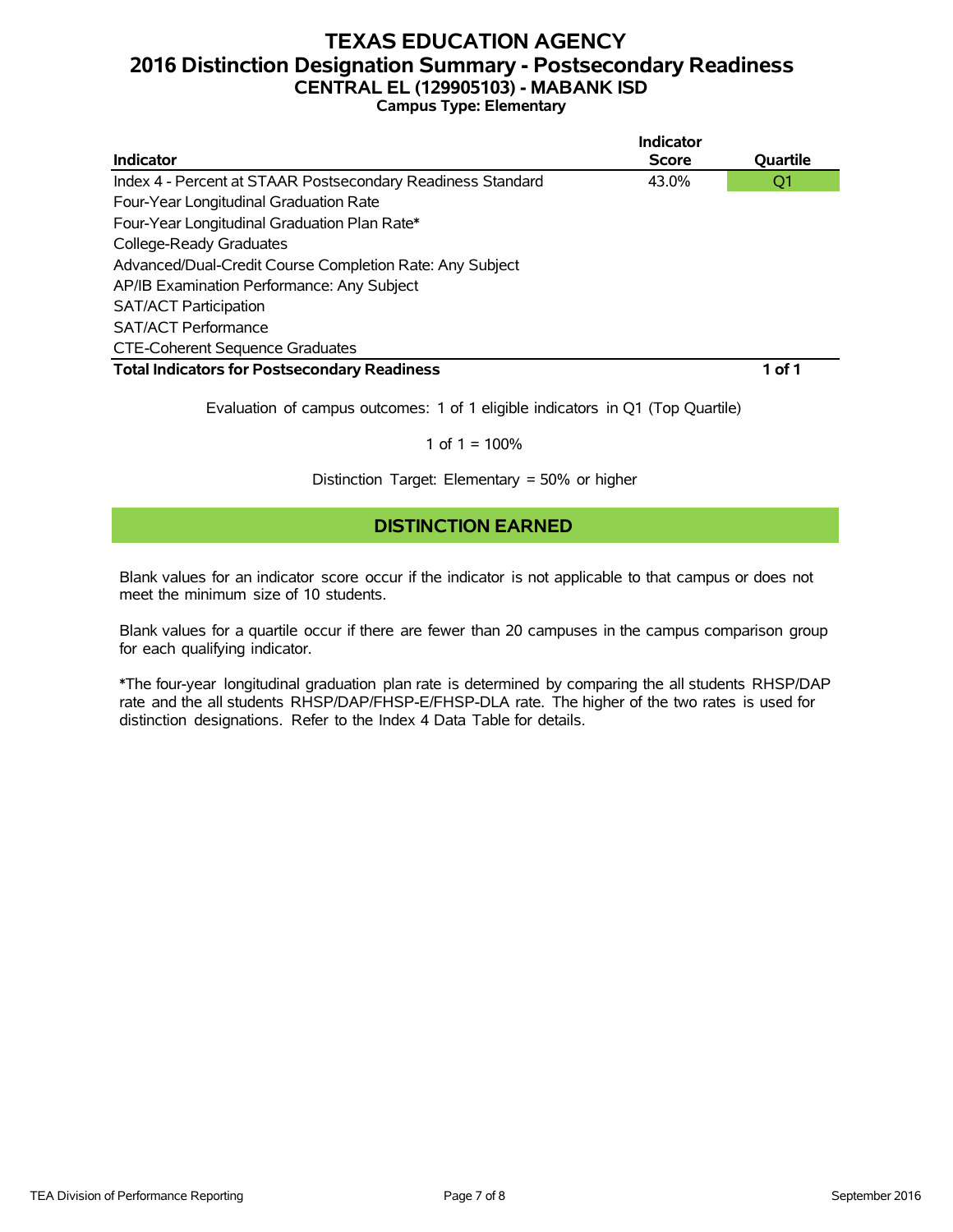# **TEXAS EDUCATION AGENCY 2016 Distinction Designation Summary - Postsecondary Readiness CENTRAL EL (129905103) - MABANK ISD**

|  |  | <b>Campus Type: Elementary</b> |
|--|--|--------------------------------|
|--|--|--------------------------------|

|                                                             | <b>Indicator</b> |          |
|-------------------------------------------------------------|------------------|----------|
| Indicator                                                   | <b>Score</b>     | Quartile |
| Index 4 - Percent at STAAR Postsecondary Readiness Standard | 43.0%            | Q1       |
| Four-Year Longitudinal Graduation Rate                      |                  |          |
| Four-Year Longitudinal Graduation Plan Rate*                |                  |          |
| College-Ready Graduates                                     |                  |          |
| Advanced/Dual-Credit Course Completion Rate: Any Subject    |                  |          |
| AP/IB Examination Performance: Any Subject                  |                  |          |
| <b>SAT/ACT Participation</b>                                |                  |          |
| <b>SAT/ACT Performance</b>                                  |                  |          |
| <b>CTE-Coherent Sequence Graduates</b>                      |                  |          |
| <b>Total Indicators for Postsecondary Readiness</b>         |                  | 1 of 1   |

Evaluation of campus outcomes: 1 of 1 eligible indicators in Q1 (Top Quartile)

#### 1 of  $1 = 100%$

Distinction Target: Elementary = 50% or higher

### **DISTINCTION EARNED**

Blank values for an indicator score occur if the indicator is not applicable to that campus or does not meet the minimum size of 10 students.

Blank values for a quartile occur if there are fewer than 20 campuses in the campus comparison group for each qualifying indicator.

\*The four-year longitudinal graduation plan rate is determined by comparing the all students RHSP/DAP rate and the all students RHSP/DAP/FHSP-E/FHSP-DLA rate. The higher of the two rates is used for distinction designations. Refer to the Index 4 Data Table for details.